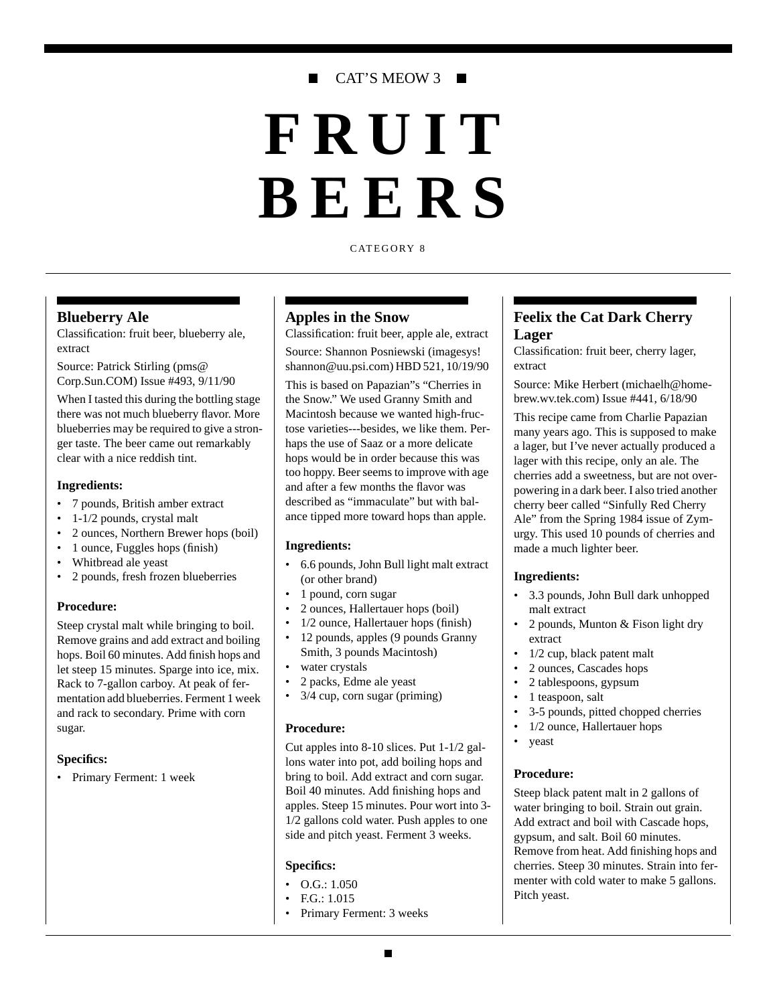## CAT'S MEOW 3 ■

# **FRUIT BEERS**

CATEGORY 8

#### **Blueberry Ale**

Classification: fruit beer, blueberry ale, extract

Source: Patrick Stirling (pms@ Corp.Sun.COM) Issue #493, 9/11/90

When I tasted this during the bottling stage there was not much blueberry flavor. More blueberries may be required to give a stronger taste. The beer came out remarkably clear with a nice reddish tint.

#### **Ingredients:**

- 7 pounds, British amber extract
- 1-1/2 pounds, crystal malt
- 2 ounces, Northern Brewer hops (boil)
- 1 ounce, Fuggles hops (finish)
- Whitbread ale yeast
- 2 pounds, fresh frozen blueberries

#### **Procedure:**

Steep crystal malt while bringing to boil. Remove grains and add extract and boiling hops. Boil 60 minutes. Add finish hops and let steep 15 minutes. Sparge into ice, mix. Rack to 7-gallon carboy. At peak of fermentation add blueberries. Ferment 1 week and rack to secondary. Prime with corn sugar.

#### **Specifics:**

• Primary Ferment: 1 week

#### **Apples in the Snow**

Classification: fruit beer, apple ale, extract Source: Shannon Posniewski (imagesys! shannon@uu.psi.com) HBD 521, 10/19/90

This is based on Papazian"s "Cherries in the Snow." We used Granny Smith and Macintosh because we wanted high-fructose varieties---besides, we like them. Perhaps the use of Saaz or a more delicate hops would be in order because this was too hoppy. Beer seems to improve with age and after a few months the flavor was described as "immaculate" but with balance tipped more toward hops than apple.

#### **Ingredients:**

- 6.6 pounds, John Bull light malt extract (or other brand)
- 1 pound, corn sugar
- 2 ounces, Hallertauer hops (boil)
- 1/2 ounce, Hallertauer hops (finish)
- 12 pounds, apples (9 pounds Granny Smith, 3 pounds Macintosh)
- water crystals
- 2 packs, Edme ale yeast
- $3/4$  cup, corn sugar (priming)

#### **Procedure:**

Cut apples into 8-10 slices. Put 1-1/2 gallons water into pot, add boiling hops and bring to boil. Add extract and corn sugar. Boil 40 minutes. Add finishing hops and apples. Steep 15 minutes. Pour wort into 3- 1/2 gallons cold water. Push apples to one side and pitch yeast. Ferment 3 weeks.

#### **Specifics:**

- $\bullet$  O.G.: 1.050
- F.G.: 1.015
- Primary Ferment: 3 weeks

## **Feelix the Cat Dark Cherry Lager**

Classification: fruit beer, cherry lager, extract

Source: Mike Herbert (michaelh@homebrew.wv.tek.com) Issue #441, 6/18/90

This recipe came from Charlie Papazian many years ago. This is supposed to make a lager, but I've never actually produced a lager with this recipe, only an ale. The cherries add a sweetness, but are not overpowering in a dark beer. I also tried another cherry beer called "Sinfully Red Cherry Ale" from the Spring 1984 issue of Zymurgy. This used 10 pounds of cherries and made a much lighter beer.

#### **Ingredients:**

- 3.3 pounds, John Bull dark unhopped malt extract
- 2 pounds, Munton & Fison light dry extract
- 1/2 cup, black patent malt
- 2 ounces, Cascades hops
- 2 tablespoons, gypsum
- 1 teaspoon, salt
- 3-5 pounds, pitted chopped cherries
- 1/2 ounce, Hallertauer hops
- yeast

#### **Procedure:**

Steep black patent malt in 2 gallons of water bringing to boil. Strain out grain. Add extract and boil with Cascade hops, gypsum, and salt. Boil 60 minutes. Remove from heat. Add finishing hops and cherries. Steep 30 minutes. Strain into fermenter with cold water to make 5 gallons. Pitch yeast.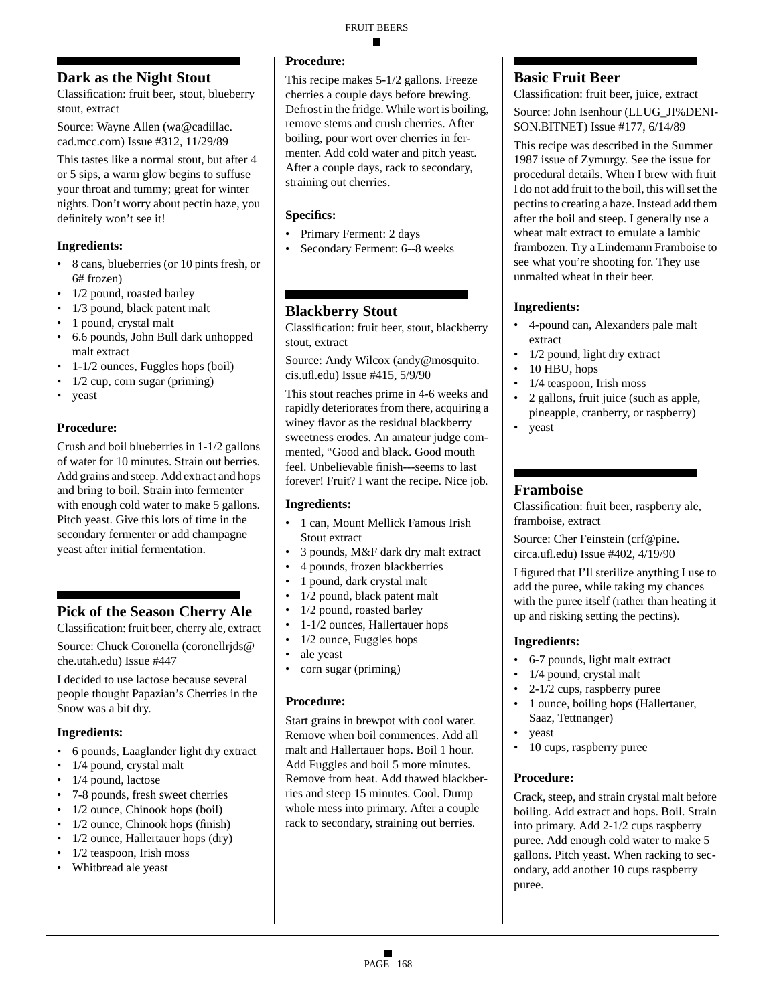## **Dark as the Night Stout**

Classification: fruit beer, stout, blueberry stout, extract

Source: Wayne Allen (wa@cadillac. cad.mcc.com) Issue #312, 11/29/89

This tastes like a normal stout, but after 4 or 5 sips, a warm glow begins to suffuse your throat and tummy; great for winter nights. Don't worry about pectin haze, you definitely won't see it!

## **Ingredients:**

- 8 cans, blueberries (or 10 pints fresh, or 6# frozen)
- 1/2 pound, roasted barley
- 1/3 pound, black patent malt
- 1 pound, crystal malt
- 6.6 pounds, John Bull dark unhopped malt extract
- 1-1/2 ounces, Fuggles hops (boil)
- $\cdot$  1/2 cup, corn sugar (priming)
- yeast

## **Procedure:**

Crush and boil blueberries in 1-1/2 gallons of water for 10 minutes. Strain out berries. Add grains and steep. Add extract and hops and bring to boil. Strain into fermenter with enough cold water to make 5 gallons. Pitch yeast. Give this lots of time in the secondary fermenter or add champagne yeast after initial fermentation.

## **Pick of the Season Cherry Ale**

Classification: fruit beer, cherry ale, extract

Source: Chuck Coronella (coronellrjds@ che.utah.edu) Issue #447

I decided to use lactose because several people thought Papazian's Cherries in the Snow was a bit dry.

#### **Ingredients:**

- 6 pounds, Laaglander light dry extract
- 1/4 pound, crystal malt
- 1/4 pound, lactose
- 7-8 pounds, fresh sweet cherries
- 1/2 ounce, Chinook hops (boil)
- 1/2 ounce, Chinook hops (finish)
- 1/2 ounce, Hallertauer hops (dry)
- $1/2$  teaspoon, Irish moss
- Whitbread ale yeast

## **Procedure:**

This recipe makes 5-1/2 gallons. Freeze cherries a couple days before brewing. Defrost in the fridge. While wort is boiling, remove stems and crush cherries. After boiling, pour wort over cherries in fermenter. Add cold water and pitch yeast. After a couple days, rack to secondary, straining out cherries.

## **Specifics:**

- Primary Ferment: 2 days
- Secondary Ferment: 6--8 weeks

## **Blackberry Stout**

Classification: fruit beer, stout, blackberry stout, extract

Source: Andy Wilcox (andy@mosquito. cis.ufl.edu) Issue #415, 5/9/90

This stout reaches prime in 4-6 weeks and rapidly deteriorates from there, acquiring a winey flavor as the residual blackberry sweetness erodes. An amateur judge commented, "Good and black. Good mouth feel. Unbelievable finish---seems to last forever! Fruit? I want the recipe. Nice job.

#### **Ingredients:**

- 1 can, Mount Mellick Famous Irish Stout extract
- 3 pounds, M&F dark dry malt extract
- 4 pounds, frozen blackberries
- 1 pound, dark crystal malt
- 1/2 pound, black patent malt
- 1/2 pound, roasted barley
- 1-1/2 ounces, Hallertauer hops
- 1/2 ounce, Fuggles hops
- ale yeast
- corn sugar (priming)

#### **Procedure:**

Start grains in brewpot with cool water. Remove when boil commences. Add all malt and Hallertauer hops. Boil 1 hour. Add Fuggles and boil 5 more minutes. Remove from heat. Add thawed blackberries and steep 15 minutes. Cool. Dump whole mess into primary. After a couple rack to secondary, straining out berries.

## **Basic Fruit Beer**

Classification: fruit beer, juice, extract Source: John Isenhour (LLUG\_JI%DENI-SON.BITNET) Issue #177, 6/14/89

This recipe was described in the Summer 1987 issue of Zymurgy. See the issue for procedural details. When I brew with fruit I do not add fruit to the boil, this will set the pectins to creating a haze. Instead add them after the boil and steep. I generally use a wheat malt extract to emulate a lambic frambozen. Try a Lindemann Framboise to see what you're shooting for. They use unmalted wheat in their beer.

## **Ingredients:**

- 4-pound can, Alexanders pale malt extract
- 1/2 pound, light dry extract
- 10 HBU, hops
- 1/4 teaspoon, Irish moss
- 2 gallons, fruit juice (such as apple, pineapple, cranberry, or raspberry)
- yeast

## **Framboise**

Classification: fruit beer, raspberry ale, framboise, extract

Source: Cher Feinstein (crf@pine. circa.ufl.edu) Issue #402, 4/19/90

I figured that I'll sterilize anything I use to add the puree, while taking my chances with the puree itself (rather than heating it up and risking setting the pectins).

## **Ingredients:**

- 6-7 pounds, light malt extract
- 1/4 pound, crystal malt
- 2-1/2 cups, raspberry puree
- 1 ounce, boiling hops (Hallertauer, Saaz, Tettnanger)
- yeast
- 10 cups, raspberry puree

#### **Procedure:**

Crack, steep, and strain crystal malt before boiling. Add extract and hops. Boil. Strain into primary. Add 2-1/2 cups raspberry puree. Add enough cold water to make 5 gallons. Pitch yeast. When racking to secondary, add another 10 cups raspberry puree.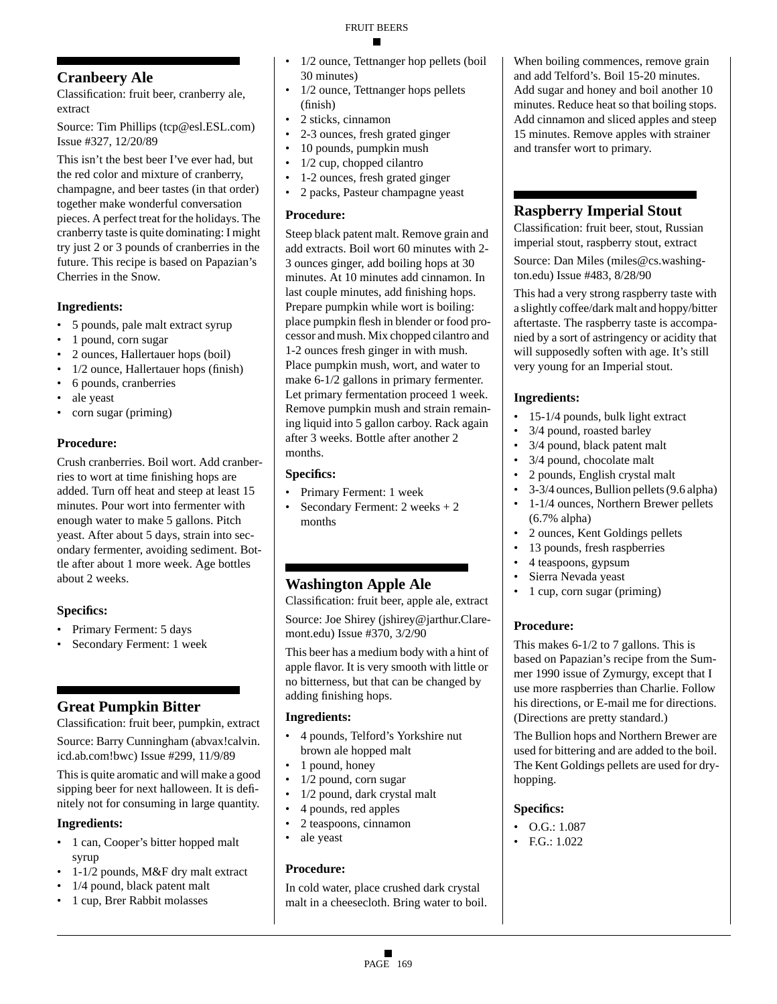## **Cranbeery Ale**

Classification: fruit beer, cranberry ale, extract

Source: Tim Phillips (tcp@esl.ESL.com) Issue #327, 12/20/89

This isn't the best beer I've ever had, but the red color and mixture of cranberry, champagne, and beer tastes (in that order) together make wonderful conversation pieces. A perfect treat for the holidays. The cranberry taste is quite dominating: I might try just 2 or 3 pounds of cranberries in the future. This recipe is based on Papazian's Cherries in the Snow.

## **Ingredients:**

- 5 pounds, pale malt extract syrup
- 1 pound, corn sugar
- 2 ounces, Hallertauer hops (boil)
- 1/2 ounce, Hallertauer hops (finish)
- 6 pounds, cranberries
- ale yeast
- corn sugar (priming)

#### **Procedure:**

Crush cranberries. Boil wort. Add cranberries to wort at time finishing hops are added. Turn off heat and steep at least 15 minutes. Pour wort into fermenter with enough water to make 5 gallons. Pitch yeast. After about 5 days, strain into secondary fermenter, avoiding sediment. Bottle after about 1 more week. Age bottles about 2 weeks.

## **Specifics:**

- Primary Ferment: 5 days
- Secondary Ferment: 1 week

## **Great Pumpkin Bitter**

Classification: fruit beer, pumpkin, extract Source: Barry Cunningham (abvax!calvin. icd.ab.com!bwc) Issue #299, 11/9/89

This is quite aromatic and will make a good sipping beer for next halloween. It is definitely not for consuming in large quantity.

## **Ingredients:**

- 1 can, Cooper's bitter hopped malt syrup
- 1-1/2 pounds, M&F dry malt extract
- 1/4 pound, black patent malt
- 1 cup, Brer Rabbit molasses
- 1/2 ounce, Tettnanger hop pellets (boil 30 minutes)
- 1/2 ounce, Tettnanger hops pellets (finish)
- 2 sticks, cinnamon
- 2-3 ounces, fresh grated ginger
- 10 pounds, pumpkin mush
- $1/2$  cup, chopped cilantro
- 1-2 ounces, fresh grated ginger
- 2 packs, Pasteur champagne yeast

#### **Procedure:**

Steep black patent malt. Remove grain and add extracts. Boil wort 60 minutes with 2- 3 ounces ginger, add boiling hops at 30 minutes. At 10 minutes add cinnamon. In last couple minutes, add finishing hops. Prepare pumpkin while wort is boiling: place pumpkin flesh in blender or food processor and mush. Mix chopped cilantro and 1-2 ounces fresh ginger in with mush. Place pumpkin mush, wort, and water to make 6-1/2 gallons in primary fermenter. Let primary fermentation proceed 1 week. Remove pumpkin mush and strain remaining liquid into 5 gallon carboy. Rack again after 3 weeks. Bottle after another 2 months.

## **Specifics:**

- Primary Ferment: 1 week
- Secondary Ferment: 2 weeks + 2 months

## **Washington Apple Ale**

Classification: fruit beer, apple ale, extract

Source: Joe Shirey (jshirey@jarthur.Claremont.edu) Issue #370, 3/2/90

This beer has a medium body with a hint of apple flavor. It is very smooth with little or no bitterness, but that can be changed by adding finishing hops.

## **Ingredients:**

- 4 pounds, Telford's Yorkshire nut brown ale hopped malt
- 1 pound, honey
- 1/2 pound, corn sugar
- 1/2 pound, dark crystal malt
- 4 pounds, red apples
- 2 teaspoons, cinnamon
- ale yeast

## **Procedure:**

In cold water, place crushed dark crystal malt in a cheesecloth. Bring water to boil.

When boiling commences, remove grain and add Telford's. Boil 15-20 minutes. Add sugar and honey and boil another 10 minutes. Reduce heat so that boiling stops. Add cinnamon and sliced apples and steep 15 minutes. Remove apples with strainer and transfer wort to primary.

## **Raspberry Imperial Stout**

Classification: fruit beer, stout, Russian imperial stout, raspberry stout, extract Source: Dan Miles (miles@cs.washington.edu) Issue #483, 8/28/90

This had a very strong raspberry taste with a slightly coffee/dark malt and hoppy/bitter aftertaste. The raspberry taste is accompanied by a sort of astringency or acidity that will supposedly soften with age. It's still very young for an Imperial stout.

## **Ingredients:**

- 15-1/4 pounds, bulk light extract
- 3/4 pound, roasted barley
- 3/4 pound, black patent malt
- 3/4 pound, chocolate malt
- 2 pounds, English crystal malt
- 3-3/4 ounces, Bullion pellets (9.6 alpha)
- 1-1/4 ounces, Northern Brewer pellets (6.7% alpha)
- 2 ounces, Kent Goldings pellets
- 13 pounds, fresh raspberries
- 4 teaspoons, gypsum
- Sierra Nevada yeast
- 1 cup, corn sugar (priming)

## **Procedure:**

This makes 6-1/2 to 7 gallons. This is based on Papazian's recipe from the Summer 1990 issue of Zymurgy, except that I use more raspberries than Charlie. Follow his directions, or E-mail me for directions. (Directions are pretty standard.)

The Bullion hops and Northern Brewer are used for bittering and are added to the boil. The Kent Goldings pellets are used for dryhopping.

## **Specifics:**

- O.G.: 1.087
- F.G.: 1.022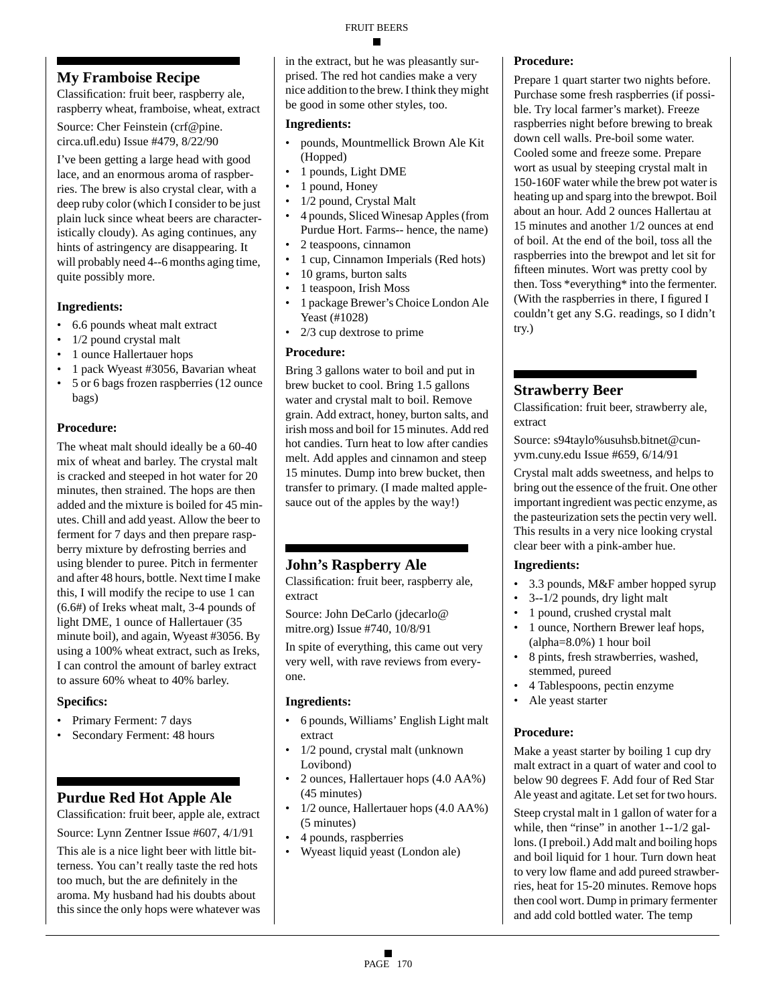## **My Framboise Recipe**

Classification: fruit beer, raspberry ale, raspberry wheat, framboise, wheat, extract

Source: Cher Feinstein (crf@pine. circa.ufl.edu) Issue #479, 8/22/90

I've been getting a large head with good lace, and an enormous aroma of raspberries. The brew is also crystal clear, with a deep ruby color (which I consider to be just plain luck since wheat beers are characteristically cloudy). As aging continues, any hints of astringency are disappearing. It will probably need 4--6 months aging time, quite possibly more.

## **Ingredients:**

- 6.6 pounds wheat malt extract
- 1/2 pound crystal malt
- 1 ounce Hallertauer hops
- 1 pack Wyeast #3056, Bavarian wheat
- 5 or 6 bags frozen raspberries (12 ounce bags)

## **Procedure:**

The wheat malt should ideally be a 60-40 mix of wheat and barley. The crystal malt is cracked and steeped in hot water for 20 minutes, then strained. The hops are then added and the mixture is boiled for 45 minutes. Chill and add yeast. Allow the beer to ferment for 7 days and then prepare raspberry mixture by defrosting berries and using blender to puree. Pitch in fermenter and after 48 hours, bottle. Next time I make this, I will modify the recipe to use 1 can (6.6#) of Ireks wheat malt, 3-4 pounds of light DME, 1 ounce of Hallertauer (35 minute boil), and again, Wyeast #3056. By using a 100% wheat extract, such as Ireks, I can control the amount of barley extract to assure 60% wheat to 40% barley.

## **Specifics:**

- Primary Ferment: 7 days
- Secondary Ferment: 48 hours

## **Purdue Red Hot Apple Ale**

Classification: fruit beer, apple ale, extract Source: Lynn Zentner Issue #607, 4/1/91

This ale is a nice light beer with little bitterness. You can't really taste the red hots too much, but the are definitely in the aroma. My husband had his doubts about this since the only hops were whatever was in the extract, but he was pleasantly surprised. The red hot candies make a very nice addition to the brew. I think they might be good in some other styles, too.

### **Ingredients:**

- pounds, Mountmellick Brown Ale Kit (Hopped)
- 1 pounds, Light DME
- 1 pound, Honey
- 1/2 pound, Crystal Malt
- 4 pounds, Sliced Winesap Apples (from Purdue Hort. Farms-- hence, the name)
- 2 teaspoons, cinnamon
- 1 cup, Cinnamon Imperials (Red hots)
- 10 grams, burton salts
- 1 teaspoon, Irish Moss
- 1 package Brewer's Choice London Ale Yeast (#1028)
- 2/3 cup dextrose to prime

#### **Procedure:**

Bring 3 gallons water to boil and put in brew bucket to cool. Bring 1.5 gallons water and crystal malt to boil. Remove grain. Add extract, honey, burton salts, and irish moss and boil for 15 minutes. Add red hot candies. Turn heat to low after candies melt. Add apples and cinnamon and steep 15 minutes. Dump into brew bucket, then transfer to primary. (I made malted applesauce out of the apples by the way!)

## **John's Raspberry Ale**

Classification: fruit beer, raspberry ale, extract

Source: John DeCarlo (jdecarlo@ mitre.org) Issue #740, 10/8/91

In spite of everything, this came out very very well, with rave reviews from everyone.

## **Ingredients:**

- 6 pounds, Williams' English Light malt extract
- 1/2 pound, crystal malt (unknown Lovibond)
- 2 ounces, Hallertauer hops (4.0 AA%) (45 minutes)
- 1/2 ounce, Hallertauer hops (4.0 AA%) (5 minutes)
- 4 pounds, raspberries
- Wyeast liquid yeast (London ale)

## **Procedure:**

Prepare 1 quart starter two nights before. Purchase some fresh raspberries (if possible. Try local farmer's market). Freeze raspberries night before brewing to break down cell walls. Pre-boil some water. Cooled some and freeze some. Prepare wort as usual by steeping crystal malt in 150-160F water while the brew pot water is heating up and sparg into the brewpot. Boil about an hour. Add 2 ounces Hallertau at 15 minutes and another 1/2 ounces at end of boil. At the end of the boil, toss all the raspberries into the brewpot and let sit for fifteen minutes. Wort was pretty cool by then. Toss \*everything\* into the fermenter. (With the raspberries in there, I figured I couldn't get any S.G. readings, so I didn't try.)

## **Strawberry Beer**

Classification: fruit beer, strawberry ale, extract

Source: s94taylo%usuhsb.bitnet@cunyvm.cuny.edu Issue #659, 6/14/91

Crystal malt adds sweetness, and helps to bring out the essence of the fruit. One other important ingredient was pectic enzyme, as the pasteurization sets the pectin very well. This results in a very nice looking crystal clear beer with a pink-amber hue.

## **Ingredients:**

- 3.3 pounds, M&F amber hopped syrup
- 3--1/2 pounds, dry light malt
- 1 pound, crushed crystal malt
- 1 ounce, Northern Brewer leaf hops, (alpha=8.0%) 1 hour boil
- 8 pints, fresh strawberries, washed, stemmed, pureed
- 4 Tablespoons, pectin enzyme
- Ale yeast starter

## **Procedure:**

Make a yeast starter by boiling 1 cup dry malt extract in a quart of water and cool to below 90 degrees F. Add four of Red Star Ale yeast and agitate. Let set for two hours.

Steep crystal malt in 1 gallon of water for a while, then "rinse" in another 1--1/2 gallons. (I preboil.) Add malt and boiling hops and boil liquid for 1 hour. Turn down heat to very low flame and add pureed strawberries, heat for 15-20 minutes. Remove hops then cool wort. Dump in primary fermenter and add cold bottled water. The temp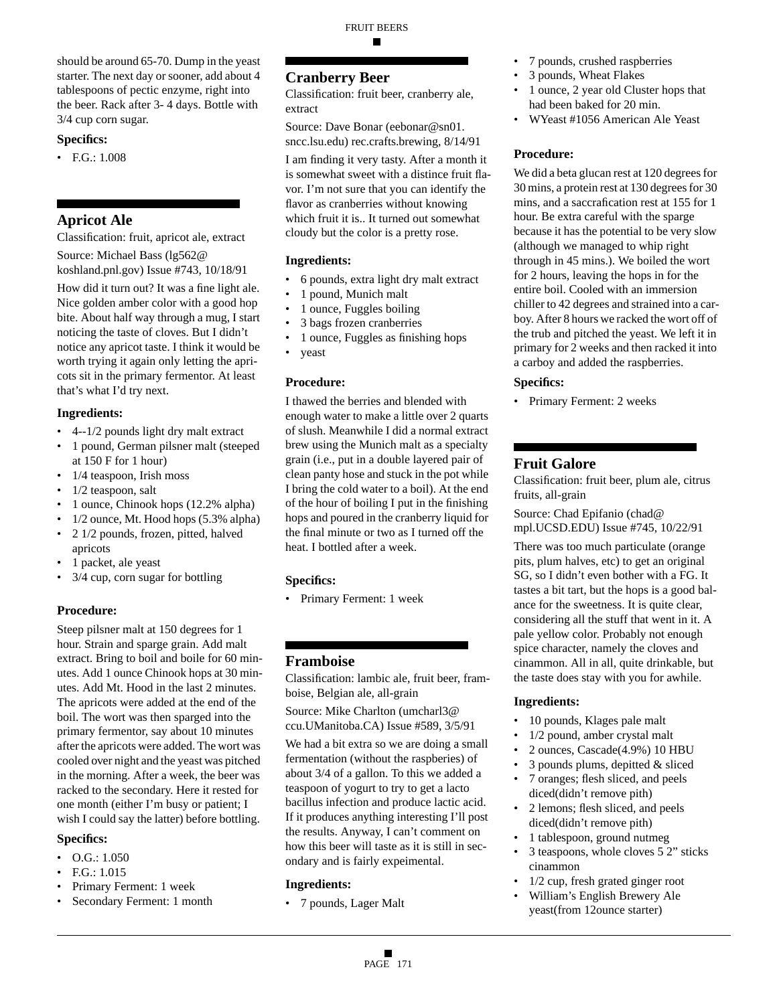should be around 65-70. Dump in the yeast starter. The next day or sooner, add about 4 tablespoons of pectic enzyme, right into the beer. Rack after 3- 4 days. Bottle with 3/4 cup corn sugar.

#### **Specifics:**

• F.G.: 1.008

## **Apricot Ale**

Classification: fruit, apricot ale, extract

Source: Michael Bass (lg562@ koshland.pnl.gov) Issue #743, 10/18/91

How did it turn out? It was a fine light ale. Nice golden amber color with a good hop bite. About half way through a mug, I start noticing the taste of cloves. But I didn't notice any apricot taste. I think it would be worth trying it again only letting the apricots sit in the primary fermentor. At least that's what I'd try next.

#### **Ingredients:**

- 4--1/2 pounds light dry malt extract
- 1 pound, German pilsner malt (steeped at 150 F for 1 hour)
- 1/4 teaspoon, Irish moss
- 1/2 teaspoon, salt
- 1 ounce, Chinook hops (12.2% alpha)
- 1/2 ounce, Mt. Hood hops (5.3% alpha)
- 2 1/2 pounds, frozen, pitted, halved apricots
- 1 packet, ale yeast
- 3/4 cup, corn sugar for bottling

#### **Procedure:**

Steep pilsner malt at 150 degrees for 1 hour. Strain and sparge grain. Add malt extract. Bring to boil and boile for 60 minutes. Add 1 ounce Chinook hops at 30 minutes. Add Mt. Hood in the last 2 minutes. The apricots were added at the end of the boil. The wort was then sparged into the primary fermentor, say about 10 minutes after the apricots were added. The wort was cooled over night and the yeast was pitched in the morning. After a week, the beer was racked to the secondary. Here it rested for one month (either I'm busy or patient; I wish I could say the latter) before bottling.

#### **Specifics:**

- $\bullet$  O.G.: 1.050
- F.G.: 1.015
- Primary Ferment: 1 week
- Secondary Ferment: 1 month

## **Cranberry Beer**

Classification: fruit beer, cranberry ale, extract

FRUIT BEERS

■

Source: Dave Bonar (eebonar@sn01. sncc.lsu.edu) rec.crafts.brewing, 8/14/91

I am finding it very tasty. After a month it is somewhat sweet with a distince fruit flavor. I'm not sure that you can identify the flavor as cranberries without knowing which fruit it is.. It turned out somewhat cloudy but the color is a pretty rose.

#### **Ingredients:**

- 6 pounds, extra light dry malt extract
- 1 pound, Munich malt
- 1 ounce, Fuggles boiling
- 3 bags frozen cranberries
- 1 ounce, Fuggles as finishing hops
- yeast

#### **Procedure:**

I thawed the berries and blended with enough water to make a little over 2 quarts of slush. Meanwhile I did a normal extract brew using the Munich malt as a specialty grain (i.e., put in a double layered pair of clean panty hose and stuck in the pot while I bring the cold water to a boil). At the end of the hour of boiling I put in the finishing hops and poured in the cranberry liquid for the final minute or two as I turned off the heat. I bottled after a week.

#### **Specifics:**

• Primary Ferment: 1 week

## **Framboise**

Classification: lambic ale, fruit beer, framboise, Belgian ale, all-grain

Source: Mike Charlton (umcharl3@ ccu.UManitoba.CA) Issue #589, 3/5/91

We had a bit extra so we are doing a small fermentation (without the raspberies) of about 3/4 of a gallon. To this we added a teaspoon of yogurt to try to get a lacto bacillus infection and produce lactic acid. If it produces anything interesting I'll post the results. Anyway, I can't comment on how this beer will taste as it is still in secondary and is fairly expeimental.

#### **Ingredients:**

• 7 pounds, Lager Malt

- 7 pounds, crushed raspberries
- 3 pounds, Wheat Flakes
- 1 ounce, 2 year old Cluster hops that had been baked for 20 min.
- WYeast #1056 American Ale Yeast

#### **Procedure:**

We did a beta glucan rest at 120 degrees for 30 mins, a protein rest at 130 degrees for 30 mins, and a saccrafication rest at 155 for 1 hour. Be extra careful with the sparge because it has the potential to be very slow (although we managed to whip right through in 45 mins.). We boiled the wort for 2 hours, leaving the hops in for the entire boil. Cooled with an immersion chiller to 42 degrees and strained into a carboy. After 8 hours we racked the wort off of the trub and pitched the yeast. We left it in primary for 2 weeks and then racked it into a carboy and added the raspberries.

#### **Specifics:**

• Primary Ferment: 2 weeks

## **Fruit Galore**

Classification: fruit beer, plum ale, citrus fruits, all-grain

Source: Chad Epifanio (chad@ mpl.UCSD.EDU) Issue #745, 10/22/91

There was too much particulate (orange pits, plum halves, etc) to get an original SG, so I didn't even bother with a FG. It tastes a bit tart, but the hops is a good balance for the sweetness. It is quite clear, considering all the stuff that went in it. A pale yellow color. Probably not enough spice character, namely the cloves and cinammon. All in all, quite drinkable, but the taste does stay with you for awhile.

- 10 pounds, Klages pale malt
- 1/2 pound, amber crystal malt
- 2 ounces, Cascade(4.9%) 10 HBU
- 3 pounds plums, depitted & sliced
- 7 oranges; flesh sliced, and peels diced(didn't remove pith)
- 2 lemons; flesh sliced, and peels diced(didn't remove pith)
- 1 tablespoon, ground nutmeg
- 3 teaspoons, whole cloves 5 2" sticks cinammon
- 1/2 cup, fresh grated ginger root
- William's English Brewery Ale yeast(from 12ounce starter)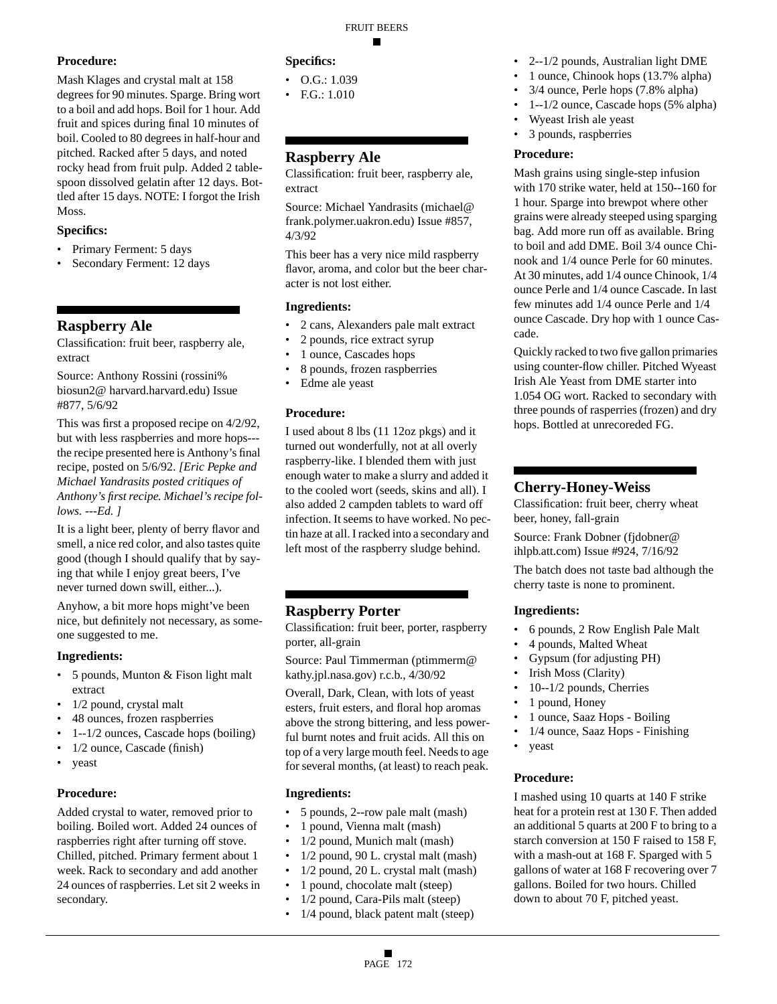## **Procedure:**

Mash Klages and crystal malt at 158 degrees for 90 minutes. Sparge. Bring wort to a boil and add hops. Boil for 1 hour. Add fruit and spices during final 10 minutes of boil. Cooled to 80 degrees in half-hour and pitched. Racked after 5 days, and noted rocky head from fruit pulp. Added 2 tablespoon dissolved gelatin after 12 days. Bottled after 15 days. NOTE: I forgot the Irish Moss.

#### **Specifics:**

- Primary Ferment: 5 days
- Secondary Ferment: 12 days

## **Raspberry Ale**

Classification: fruit beer, raspberry ale, extract

Source: Anthony Rossini (rossini% biosun2@ harvard.harvard.edu) Issue #877, 5/6/92

This was first a proposed recipe on 4/2/92, but with less raspberries and more hops-- the recipe presented here is Anthony's final recipe, posted on 5/6/92. *[Eric Pepke and Michael Yandrasits posted critiques of Anthony's first recipe. Michael's recipe follows. ---Ed. ]*

It is a light beer, plenty of berry flavor and smell, a nice red color, and also tastes quite good (though I should qualify that by saying that while I enjoy great beers, I've never turned down swill, either...).

Anyhow, a bit more hops might've been nice, but definitely not necessary, as someone suggested to me.

#### **Ingredients:**

- 5 pounds, Munton & Fison light malt extract
- 1/2 pound, crystal malt
- 48 ounces, frozen raspberries
- 1--1/2 ounces, Cascade hops (boiling)
- $1/2$  ounce, Cascade (finish)
- yeast

## **Procedure:**

Added crystal to water, removed prior to boiling. Boiled wort. Added 24 ounces of raspberries right after turning off stove. Chilled, pitched. Primary ferment about 1 week. Rack to secondary and add another 24 ounces of raspberries. Let sit 2 weeks in secondary.

#### **Specifics:**

- $O.G.: 1.039$
- F.G.: 1.010

## **Raspberry Ale**

Classification: fruit beer, raspberry ale, extract

Source: Michael Yandrasits (michael@ frank.polymer.uakron.edu) Issue #857, 4/3/92

This beer has a very nice mild raspberry flavor, aroma, and color but the beer character is not lost either.

#### **Ingredients:**

- 2 cans, Alexanders pale malt extract
- 2 pounds, rice extract syrup
- 1 ounce, Cascades hops
- 8 pounds, frozen raspberries
- Edme ale yeast

#### **Procedure:**

I used about 8 lbs (11 12oz pkgs) and it turned out wonderfully, not at all overly raspberry-like. I blended them with just enough water to make a slurry and added it to the cooled wort (seeds, skins and all). I also added 2 campden tablets to ward off infection. It seems to have worked. No pectin haze at all. I racked into a secondary and left most of the raspberry sludge behind.

## **Raspberry Porter**

Classification: fruit beer, porter, raspberry porter, all-grain

Source: Paul Timmerman (ptimmerm@ kathy.jpl.nasa.gov) r.c.b., 4/30/92

Overall, Dark, Clean, with lots of yeast esters, fruit esters, and floral hop aromas above the strong bittering, and less powerful burnt notes and fruit acids. All this on top of a very large mouth feel. Needs to age for several months, (at least) to reach peak.

#### **Ingredients:**

- 5 pounds, 2--row pale malt (mash)
- 1 pound, Vienna malt (mash)
- 1/2 pound, Munich malt (mash)
- 1/2 pound, 90 L. crystal malt (mash)
- 1/2 pound, 20 L. crystal malt (mash)
- 1 pound, chocolate malt (steep)
- 1/2 pound, Cara-Pils malt (steep)
- 1/4 pound, black patent malt (steep)
- 2--1/2 pounds, Australian light DME
- 1 ounce, Chinook hops (13.7% alpha)
- 3/4 ounce, Perle hops (7.8% alpha)
- 1--1/2 ounce, Cascade hops (5% alpha)
- Wyeast Irish ale yeast
	- 3 pounds, raspberries

#### **Procedure:**

Mash grains using single-step infusion with 170 strike water, held at 150--160 for 1 hour. Sparge into brewpot where other grains were already steeped using sparging bag. Add more run off as available. Bring to boil and add DME. Boil 3/4 ounce Chinook and 1/4 ounce Perle for 60 minutes. At 30 minutes, add 1/4 ounce Chinook, 1/4 ounce Perle and 1/4 ounce Cascade. In last few minutes add 1/4 ounce Perle and 1/4 ounce Cascade. Dry hop with 1 ounce Cascade.

Quickly racked to two five gallon primaries using counter-flow chiller. Pitched Wyeast Irish Ale Yeast from DME starter into 1.054 OG wort. Racked to secondary with three pounds of rasperries (frozen) and dry hops. Bottled at unrecoreded FG.

## **Cherry-Honey-Weiss**

Classification: fruit beer, cherry wheat beer, honey, fall-grain

Source: Frank Dobner (fjdobner@ ihlpb.att.com) Issue #924, 7/16/92

The batch does not taste bad although the cherry taste is none to prominent.

#### **Ingredients:**

- 6 pounds, 2 Row English Pale Malt
- 4 pounds, Malted Wheat
- Gypsum (for adjusting PH)
- Irish Moss (Clarity)
- 10--1/2 pounds, Cherries
- 1 pound, Honey
- 1 ounce, Saaz Hops Boiling
- 1/4 ounce, Saaz Hops Finishing
- yeast

#### **Procedure:**

I mashed using 10 quarts at 140 F strike heat for a protein rest at 130 F. Then added an additional 5 quarts at 200 F to bring to a starch conversion at 150 F raised to 158 F, with a mash-out at 168 F. Sparged with 5 gallons of water at 168 F recovering over 7 gallons. Boiled for two hours. Chilled down to about 70 F, pitched yeast.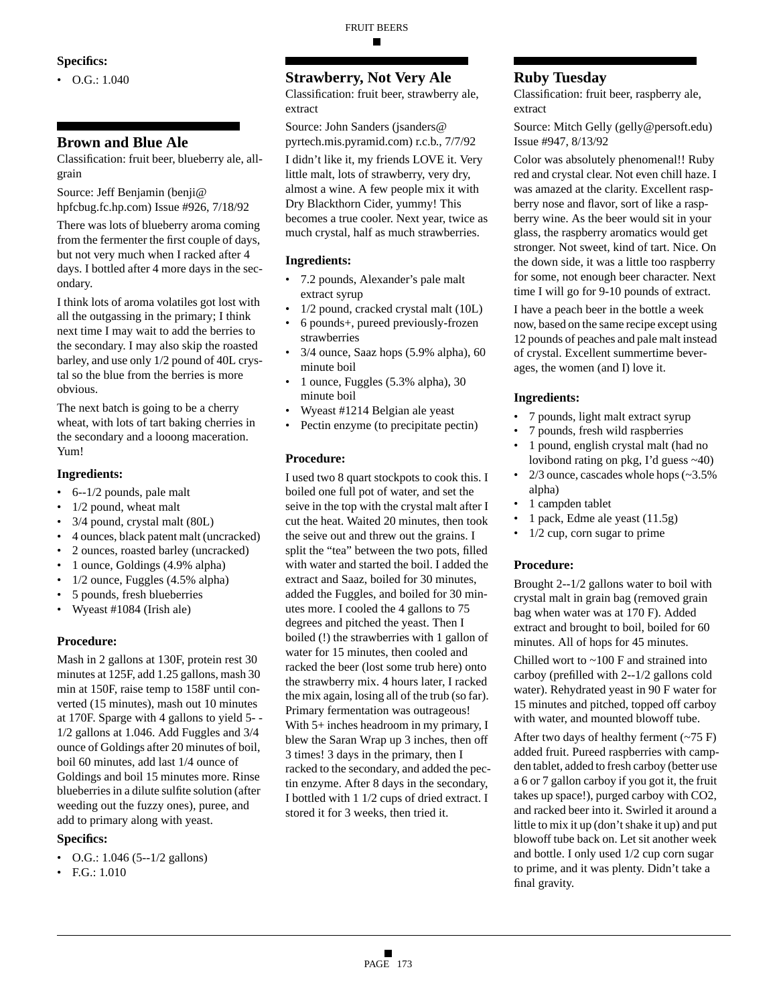#### **Specifics:**

 $\bullet$  O.G.: 1.040

#### **Brown and Blue Ale**

Classification: fruit beer, blueberry ale, allgrain

Source: Jeff Benjamin (benji@ hpfcbug.fc.hp.com) Issue #926, 7/18/92

There was lots of blueberry aroma coming from the fermenter the first couple of days, but not very much when I racked after 4 days. I bottled after 4 more days in the secondary.

I think lots of aroma volatiles got lost with all the outgassing in the primary; I think next time I may wait to add the berries to the secondary. I may also skip the roasted barley, and use only 1/2 pound of 40L crystal so the blue from the berries is more obvious.

The next batch is going to be a cherry wheat, with lots of tart baking cherries in the secondary and a looong maceration. Yum!

#### **Ingredients:**

- 6--1/2 pounds, pale malt
- 1/2 pound, wheat malt
- 3/4 pound, crystal malt (80L)
- 4 ounces, black patent malt (uncracked)
- 2 ounces, roasted barley (uncracked)
- 1 ounce, Goldings (4.9% alpha)
- 1/2 ounce, Fuggles (4.5% alpha)
- 5 pounds, fresh blueberries
- Wyeast #1084 (Irish ale)

#### **Procedure:**

Mash in 2 gallons at 130F, protein rest 30 minutes at 125F, add 1.25 gallons, mash 30 min at 150F, raise temp to 158F until converted (15 minutes), mash out 10 minutes at 170F. Sparge with 4 gallons to yield 5- - 1/2 gallons at 1.046. Add Fuggles and 3/4 ounce of Goldings after 20 minutes of boil, boil 60 minutes, add last 1/4 ounce of Goldings and boil 15 minutes more. Rinse blueberries in a dilute sulfite solution (after weeding out the fuzzy ones), puree, and add to primary along with yeast.

#### **Specifics:**

- O.G.: 1.046 (5--1/2 gallons)
- F.G.: 1.010

## **Strawberry, Not Very Ale**

Classification: fruit beer, strawberry ale, extract

Source: John Sanders (jsanders@ pyrtech.mis.pyramid.com) r.c.b., 7/7/92

I didn't like it, my friends LOVE it. Very little malt, lots of strawberry, very dry, almost a wine. A few people mix it with Dry Blackthorn Cider, yummy! This becomes a true cooler. Next year, twice as much crystal, half as much strawberries.

#### **Ingredients:**

- 7.2 pounds, Alexander's pale malt extract syrup
- 1/2 pound, cracked crystal malt (10L)
- 6 pounds+, pureed previously-frozen strawberries
- 3/4 ounce, Saaz hops (5.9% alpha), 60 minute boil
- 1 ounce, Fuggles (5.3% alpha), 30 minute boil
- Wyeast #1214 Belgian ale yeast
- Pectin enzyme (to precipitate pectin)

#### **Procedure:**

I used two 8 quart stockpots to cook this. I boiled one full pot of water, and set the seive in the top with the crystal malt after I cut the heat. Waited 20 minutes, then took the seive out and threw out the grains. I split the "tea" between the two pots, filled with water and started the boil. I added the extract and Saaz, boiled for 30 minutes, added the Fuggles, and boiled for 30 minutes more. I cooled the 4 gallons to 75 degrees and pitched the yeast. Then I boiled (!) the strawberries with 1 gallon of water for 15 minutes, then cooled and racked the beer (lost some trub here) onto the strawberry mix. 4 hours later, I racked the mix again, losing all of the trub (so far). Primary fermentation was outrageous! With 5+ inches headroom in my primary, I blew the Saran Wrap up 3 inches, then off 3 times! 3 days in the primary, then I racked to the secondary, and added the pectin enzyme. After 8 days in the secondary, I bottled with 1 1/2 cups of dried extract. I stored it for 3 weeks, then tried it.

## **Ruby Tuesday**

Classification: fruit beer, raspberry ale, extract

Source: Mitch Gelly (gelly@persoft.edu) Issue #947, 8/13/92

Color was absolutely phenomenal!! Ruby red and crystal clear. Not even chill haze. I was amazed at the clarity. Excellent raspberry nose and flavor, sort of like a raspberry wine. As the beer would sit in your glass, the raspberry aromatics would get stronger. Not sweet, kind of tart. Nice. On the down side, it was a little too raspberry for some, not enough beer character. Next time I will go for 9-10 pounds of extract.

I have a peach beer in the bottle a week now, based on the same recipe except using 12 pounds of peaches and pale malt instead of crystal. Excellent summertime beverages, the women (and I) love it.

#### **Ingredients:**

- 7 pounds, light malt extract syrup
- 7 pounds, fresh wild raspberries
- 1 pound, english crystal malt (had no lovibond rating on pkg, I'd guess ~40)
- 2/3 ounce, cascades whole hops  $\left(\sim 3.5\right)$ % alpha)
- 1 campden tablet
- 1 pack, Edme ale yeast (11.5g)
- 1/2 cup, corn sugar to prime

#### **Procedure:**

Brought 2--1/2 gallons water to boil with crystal malt in grain bag (removed grain bag when water was at 170 F). Added extract and brought to boil, boiled for 60 minutes. All of hops for 45 minutes.

Chilled wort to ~100 F and strained into carboy (prefilled with 2--1/2 gallons cold water). Rehydrated yeast in 90 F water for 15 minutes and pitched, topped off carboy with water, and mounted blowoff tube.

After two days of healthy ferment (~75 F) added fruit. Pureed raspberries with campden tablet, added to fresh carboy (better use a 6 or 7 gallon carboy if you got it, the fruit takes up space!), purged carboy with CO2, and racked beer into it. Swirled it around a little to mix it up (don't shake it up) and put blowoff tube back on. Let sit another week and bottle. I only used 1/2 cup corn sugar to prime, and it was plenty. Didn't take a final gravity.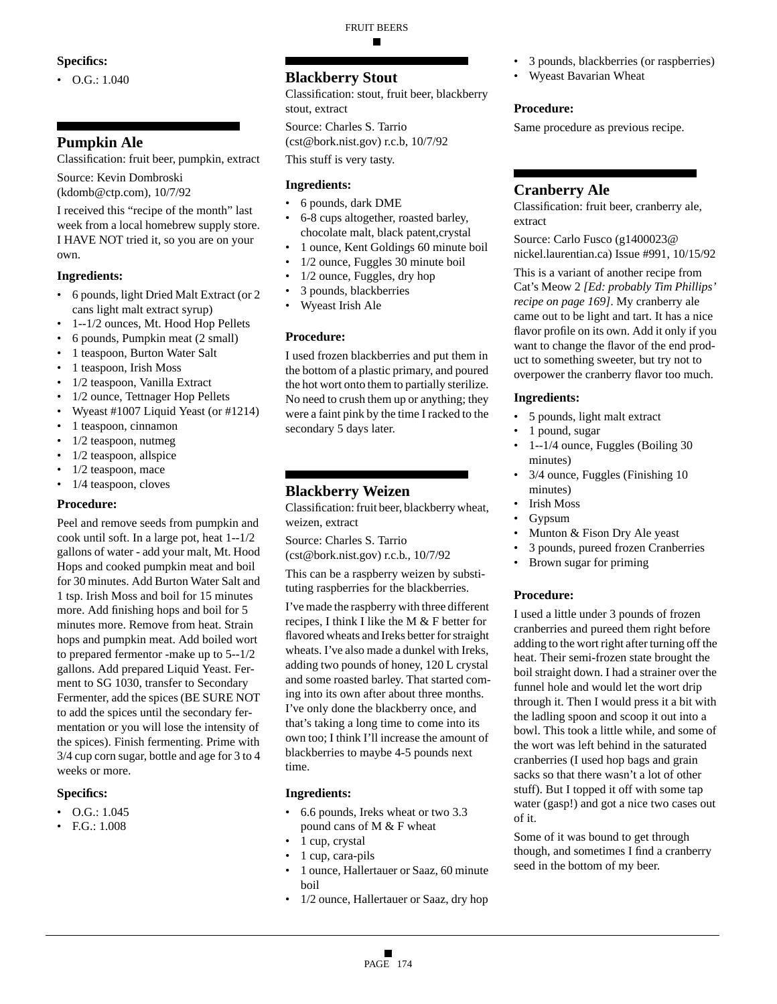#### **Specifics:**

 $\bullet$  O.G.: 1.040

## **Pumpkin Ale**

Classification: fruit beer, pumpkin, extract

Source: Kevin Dombroski (kdomb@ctp.com), 10/7/92

I received this "recipe of the month" last week from a local homebrew supply store. I HAVE NOT tried it, so you are on your own.

#### **Ingredients:**

- 6 pounds, light Dried Malt Extract (or 2 cans light malt extract syrup)
- 1--1/2 ounces, Mt. Hood Hop Pellets
- 6 pounds, Pumpkin meat (2 small)
- 1 teaspoon, Burton Water Salt
- 1 teaspoon, Irish Moss
- 1/2 teaspoon, Vanilla Extract
- 1/2 ounce, Tettnager Hop Pellets
- Wyeast #1007 Liquid Yeast (or #1214)
- 1 teaspoon, cinnamon
- 1/2 teaspoon, nutmeg
- $1/2$  teaspoon, allspice
- 1/2 teaspoon, mace
- 1/4 teaspoon, cloves

#### **Procedure:**

Peel and remove seeds from pumpkin and cook until soft. In a large pot, heat 1--1/2 gallons of water - add your malt, Mt. Hood Hops and cooked pumpkin meat and boil for 30 minutes. Add Burton Water Salt and 1 tsp. Irish Moss and boil for 15 minutes more. Add finishing hops and boil for 5 minutes more. Remove from heat. Strain hops and pumpkin meat. Add boiled wort to prepared fermentor -make up to 5--1/2 gallons. Add prepared Liquid Yeast. Ferment to SG 1030, transfer to Secondary Fermenter, add the spices (BE SURE NOT to add the spices until the secondary fermentation or you will lose the intensity of the spices). Finish fermenting. Prime with 3/4 cup corn sugar, bottle and age for 3 to 4 weeks or more.

#### **Specifics:**

- $\bullet$  O.G.: 1.045
- F.G.: 1.008

## **Blackberry Stout**

Classification: stout, fruit beer, blackberry stout, extract

FRUIT BEERS

■

Source: Charles S. Tarrio (cst@bork.nist.gov) r.c.b, 10/7/92

This stuff is very tasty.

#### **Ingredients:**

- 6 pounds, dark DME
- 6-8 cups altogether, roasted barley, chocolate malt, black patent,crystal
- 1 ounce, Kent Goldings 60 minute boil
- 1/2 ounce, Fuggles 30 minute boil
- 1/2 ounce, Fuggles, dry hop
- 3 pounds, blackberries
- Wyeast Irish Ale

#### **Procedure:**

I used frozen blackberries and put them in the bottom of a plastic primary, and poured the hot wort onto them to partially sterilize. No need to crush them up or anything; they were a faint pink by the time I racked to the secondary 5 days later.

## **Blackberry Weizen**

Classification: fruit beer, blackberry wheat, weizen, extract

Source: Charles S. Tarrio (cst@bork.nist.gov) r.c.b., 10/7/92

This can be a raspberry weizen by substituting raspberries for the blackberries.

I've made the raspberry with three different recipes, I think I like the M & F better for flavored wheats and Ireks better for straight wheats. I've also made a dunkel with Ireks, adding two pounds of honey, 120 L crystal and some roasted barley. That started coming into its own after about three months. I've only done the blackberry once, and that's taking a long time to come into its own too; I think I'll increase the amount of blackberries to maybe 4-5 pounds next time.

#### **Ingredients:**

- 6.6 pounds, Ireks wheat or two 3.3 pound cans of M & F wheat
- 1 cup, crystal
- 1 cup, cara-pils
- 1 ounce, Hallertauer or Saaz, 60 minute boil
- 1/2 ounce, Hallertauer or Saaz, dry hop
- 3 pounds, blackberries (or raspberries)
- Wyeast Bavarian Wheat

#### **Procedure:**

Same procedure as previous recipe.

## **Cranberry Ale**

Classification: fruit beer, cranberry ale, extract

Source: Carlo Fusco (g1400023@ nickel.laurentian.ca) Issue #991, 10/15/92

This is a variant of another recipe from Cat's Meow 2 *[Ed: probably Tim Phillips' recipe on page 169]*. My cranberry ale came out to be light and tart. It has a nice flavor profile on its own. Add it only if you want to change the flavor of the end product to something sweeter, but try not to overpower the cranberry flavor too much.

#### **Ingredients:**

- 5 pounds, light malt extract
- 1 pound, sugar
- 1--1/4 ounce, Fuggles (Boiling 30 minutes)
- 3/4 ounce, Fuggles (Finishing 10 minutes)
- Irish Moss
- Gypsum
- Munton & Fison Dry Ale yeast
- 3 pounds, pureed frozen Cranberries
- Brown sugar for priming

#### **Procedure:**

I used a little under 3 pounds of frozen cranberries and pureed them right before adding to the wort right after turning off the heat. Their semi-frozen state brought the boil straight down. I had a strainer over the funnel hole and would let the wort drip through it. Then I would press it a bit with the ladling spoon and scoop it out into a bowl. This took a little while, and some of the wort was left behind in the saturated cranberries (I used hop bags and grain sacks so that there wasn't a lot of other stuff). But I topped it off with some tap water (gasp!) and got a nice two cases out of it.

Some of it was bound to get through though, and sometimes I find a cranberry seed in the bottom of my beer.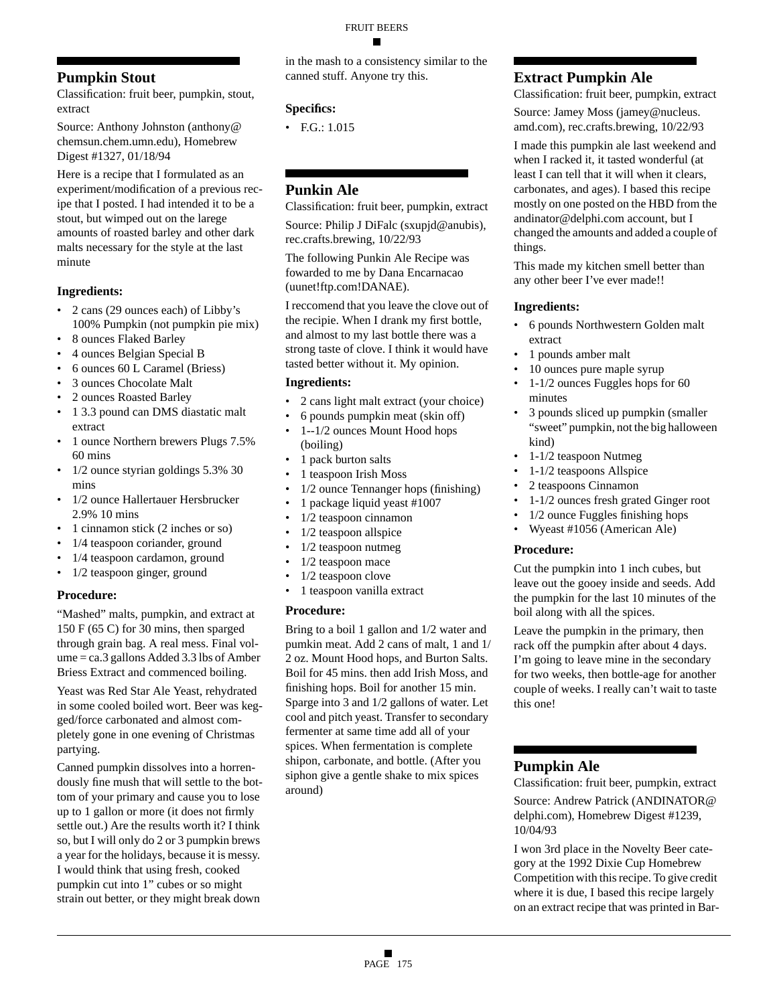## **Pumpkin Stout**

Classification: fruit beer, pumpkin, stout, extract

Source: Anthony Johnston (anthony@ chemsun.chem.umn.edu), Homebrew Digest #1327, 01/18/94

Here is a recipe that I formulated as an experiment/modification of a previous recipe that I posted. I had intended it to be a stout, but wimped out on the larege amounts of roasted barley and other dark malts necessary for the style at the last minute

## **Ingredients:**

- 2 cans (29 ounces each) of Libby's 100% Pumpkin (not pumpkin pie mix)
- 8 ounces Flaked Barley
- 4 ounces Belgian Special B
- 6 ounces 60 L Caramel (Briess)
- 3 ounces Chocolate Malt
- 2 ounces Roasted Barley
- 1 3.3 pound can DMS diastatic malt extract
- 1 ounce Northern brewers Plugs 7.5% 60 mins
- 1/2 ounce styrian goldings 5.3% 30 mins
- 1/2 ounce Hallertauer Hersbrucker 2.9% 10 mins
- 1 cinnamon stick (2 inches or so)
- 1/4 teaspoon coriander, ground
- 1/4 teaspoon cardamon, ground
- 1/2 teaspoon ginger, ground

## **Procedure:**

"Mashed" malts, pumpkin, and extract at 150 F (65 C) for 30 mins, then sparged through grain bag. A real mess. Final volume = ca.3 gallons Added 3.3 lbs of Amber Briess Extract and commenced boiling.

Yeast was Red Star Ale Yeast, rehydrated in some cooled boiled wort. Beer was kegged/force carbonated and almost completely gone in one evening of Christmas partying.

Canned pumpkin dissolves into a horrendously fine mush that will settle to the bottom of your primary and cause you to lose up to 1 gallon or more (it does not firmly settle out.) Are the results worth it? I think so, but I will only do 2 or 3 pumpkin brews a year for the holidays, because it is messy. I would think that using fresh, cooked pumpkin cut into 1" cubes or so might strain out better, or they might break down

in the mash to a consistency similar to the canned stuff. Anyone try this.

## **Specifics:**

• F.G.: 1.015

## **Punkin Ale**

Classification: fruit beer, pumpkin, extract

Source: Philip J DiFalc (sxupjd@anubis), rec.crafts.brewing, 10/22/93

The following Punkin Ale Recipe was fowarded to me by Dana Encarnacao (uunet!ftp.com!DANAE).

I reccomend that you leave the clove out of the recipie. When I drank my first bottle, and almost to my last bottle there was a strong taste of clove. I think it would have tasted better without it. My opinion.

#### **Ingredients:**

- 2 cans light malt extract (your choice)
- 6 pounds pumpkin meat (skin off)
- 1--1/2 ounces Mount Hood hops (boiling)
- 1 pack burton salts
- 1 teaspoon Irish Moss
- 1/2 ounce Tennanger hops (finishing)
- 1 package liquid yeast #1007
- 1/2 teaspoon cinnamon
- 1/2 teaspoon allspice
- 1/2 teaspoon nutmeg
- 1/2 teaspoon mace
- 1/2 teaspoon clove
- 1 teaspoon vanilla extract

## **Procedure:**

Bring to a boil 1 gallon and 1/2 water and pumkin meat. Add 2 cans of malt, 1 and 1/ 2 oz. Mount Hood hops, and Burton Salts. Boil for 45 mins. then add Irish Moss, and finishing hops. Boil for another 15 min. Sparge into 3 and 1/2 gallons of water. Let cool and pitch yeast. Transfer to secondary fermenter at same time add all of your spices. When fermentation is complete shipon, carbonate, and bottle. (After you siphon give a gentle shake to mix spices around)

## **Extract Pumpkin Ale**

Classification: fruit beer, pumpkin, extract Source: Jamey Moss (jamey@nucleus.

amd.com), rec.crafts.brewing, 10/22/93

I made this pumpkin ale last weekend and when I racked it, it tasted wonderful (at least I can tell that it will when it clears, carbonates, and ages). I based this recipe mostly on one posted on the HBD from the andinator@delphi.com account, but I changed the amounts and added a couple of things.

This made my kitchen smell better than any other beer I've ever made!!

## **Ingredients:**

- 6 pounds Northwestern Golden malt extract
- 1 pounds amber malt
- 10 ounces pure maple syrup
- 1-1/2 ounces Fuggles hops for 60 minutes
- 3 pounds sliced up pumpkin (smaller "sweet" pumpkin, not the big halloween kind)
- 1-1/2 teaspoon Nutmeg
- 1-1/2 teaspoons Allspice
- 2 teaspoons Cinnamon
- 1-1/2 ounces fresh grated Ginger root
- 1/2 ounce Fuggles finishing hops
- Wyeast #1056 (American Ale)

#### **Procedure:**

Cut the pumpkin into 1 inch cubes, but leave out the gooey inside and seeds. Add the pumpkin for the last 10 minutes of the boil along with all the spices.

Leave the pumpkin in the primary, then rack off the pumpkin after about 4 days. I'm going to leave mine in the secondary for two weeks, then bottle-age for another couple of weeks. I really can't wait to taste this one!

## **Pumpkin Ale**

Classification: fruit beer, pumpkin, extract Source: Andrew Patrick (ANDINATOR@ delphi.com), Homebrew Digest #1239, 10/04/93

I won 3rd place in the Novelty Beer category at the 1992 Dixie Cup Homebrew Competition with this recipe. To give credit where it is due, I based this recipe largely on an extract recipe that was printed in Bar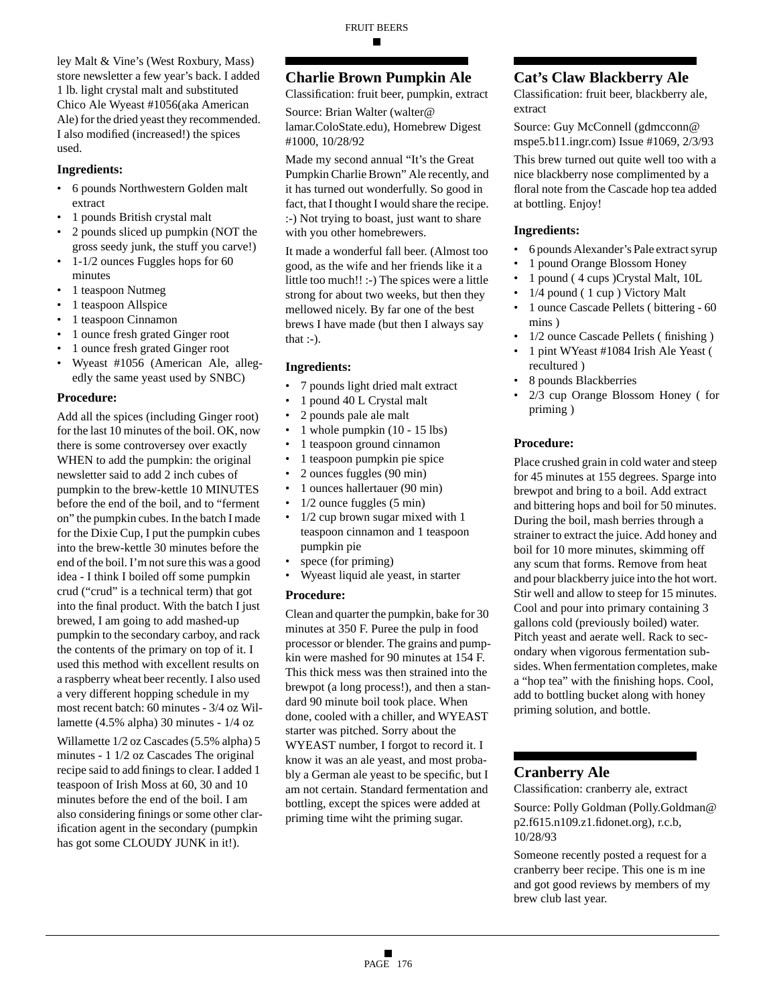ley Malt & Vine's (West Roxbury, Mass) store newsletter a few year's back. I added 1 lb. light crystal malt and substituted Chico Ale Wyeast #1056(aka American Ale) for the dried yeast they recommended. I also modified (increased!) the spices used.

#### **Ingredients:**

- 6 pounds Northwestern Golden malt extract
- 1 pounds British crystal malt
- 2 pounds sliced up pumpkin (NOT the gross seedy junk, the stuff you carve!)
- 1-1/2 ounces Fuggles hops for 60 minutes
- 1 teaspoon Nutmeg
- 1 teaspoon Allspice
- 1 teaspoon Cinnamon
- 1 ounce fresh grated Ginger root
- 1 ounce fresh grated Ginger root
- Wyeast #1056 (American Ale, allegedly the same yeast used by SNBC)

#### **Procedure:**

Add all the spices (including Ginger root) for the last 10 minutes of the boil. OK, now there is some controversey over exactly WHEN to add the pumpkin: the original newsletter said to add 2 inch cubes of pumpkin to the brew-kettle 10 MINUTES before the end of the boil, and to "ferment on" the pumpkin cubes. In the batch I made for the Dixie Cup, I put the pumpkin cubes into the brew-kettle 30 minutes before the end of the boil. I'm not sure this was a good idea - I think I boiled off some pumpkin crud ("crud" is a technical term) that got into the final product. With the batch I just brewed, I am going to add mashed-up pumpkin to the secondary carboy, and rack the contents of the primary on top of it. I used this method with excellent results on a raspberry wheat beer recently. I also used a very different hopping schedule in my most recent batch: 60 minutes - 3/4 oz Willamette (4.5% alpha) 30 minutes - 1/4 oz

Willamette 1/2 oz Cascades (5.5% alpha) 5 minutes - 1 1/2 oz Cascades The original recipe said to add finings to clear. I added 1 teaspoon of Irish Moss at 60, 30 and 10 minutes before the end of the boil. I am also considering finings or some other clarification agent in the secondary (pumpkin has got some CLOUDY JUNK in it!).

## **Charlie Brown Pumpkin Ale**

Classification: fruit beer, pumpkin, extract

Source: Brian Walter (walter@ lamar.ColoState.edu), Homebrew Digest #1000, 10/28/92

Made my second annual "It's the Great Pumpkin Charlie Brown" Ale recently, and it has turned out wonderfully. So good in fact, that I thought I would share the recipe. :-) Not trying to boast, just want to share with you other homebrewers.

It made a wonderful fall beer. (Almost too good, as the wife and her friends like it a little too much!! :-) The spices were a little strong for about two weeks, but then they mellowed nicely. By far one of the best brews I have made (but then I always say that  $:-$ ).

#### **Ingredients:**

- 7 pounds light dried malt extract
- 1 pound 40 L Crystal malt
- 2 pounds pale ale malt
- 1 whole pumpkin (10 15 lbs)
- 1 teaspoon ground cinnamon
- 1 teaspoon pumpkin pie spice
- 2 ounces fuggles (90 min)
- 1 ounces hallertauer (90 min)
- 1/2 ounce fuggles (5 min)
- 1/2 cup brown sugar mixed with 1 teaspoon cinnamon and 1 teaspoon pumpkin pie
- spece (for priming)
- Wyeast liquid ale yeast, in starter

#### **Procedure:**

Clean and quarter the pumpkin, bake for 30 minutes at 350 F. Puree the pulp in food processor or blender. The grains and pumpkin were mashed for 90 minutes at 154 F. This thick mess was then strained into the brewpot (a long process!), and then a standard 90 minute boil took place. When done, cooled with a chiller, and WYEAST starter was pitched. Sorry about the WYEAST number, I forgot to record it. I know it was an ale yeast, and most probably a German ale yeast to be specific, but I am not certain. Standard fermentation and bottling, except the spices were added at priming time wiht the priming sugar.

## **Cat's Claw Blackberry Ale**

Classification: fruit beer, blackberry ale, extract

Source: Guy McConnell (gdmcconn@ mspe5.b11.ingr.com) Issue #1069, 2/3/93

This brew turned out quite well too with a nice blackberry nose complimented by a floral note from the Cascade hop tea added at bottling. Enjoy!

#### **Ingredients:**

- 6 pounds Alexander's Pale extract syrup
- 1 pound Orange Blossom Honey
- 1 pound ( 4 cups )Crystal Malt, 10L
- 1/4 pound ( 1 cup ) Victory Malt
- 1 ounce Cascade Pellets ( bittering 60 mins )
- 1/2 ounce Cascade Pellets ( finishing )
- 1 pint WYeast #1084 Irish Ale Yeast ( recultured )
- 8 pounds Blackberries
- 2/3 cup Orange Blossom Honey ( for priming )

#### **Procedure:**

Place crushed grain in cold water and steep for 45 minutes at 155 degrees. Sparge into brewpot and bring to a boil. Add extract and bittering hops and boil for 50 minutes. During the boil, mash berries through a strainer to extract the juice. Add honey and boil for 10 more minutes, skimming off any scum that forms. Remove from heat and pour blackberry juice into the hot wort. Stir well and allow to steep for 15 minutes. Cool and pour into primary containing 3 gallons cold (previously boiled) water. Pitch yeast and aerate well. Rack to secondary when vigorous fermentation subsides. When fermentation completes, make a "hop tea" with the finishing hops. Cool, add to bottling bucket along with honey priming solution, and bottle.

## **Cranberry Ale**

Classification: cranberry ale, extract

Source: Polly Goldman (Polly.Goldman@ p2.f615.n109.z1.fidonet.org), r.c.b, 10/28/93

Someone recently posted a request for a cranberry beer recipe. This one is m ine and got good reviews by members of my brew club last year.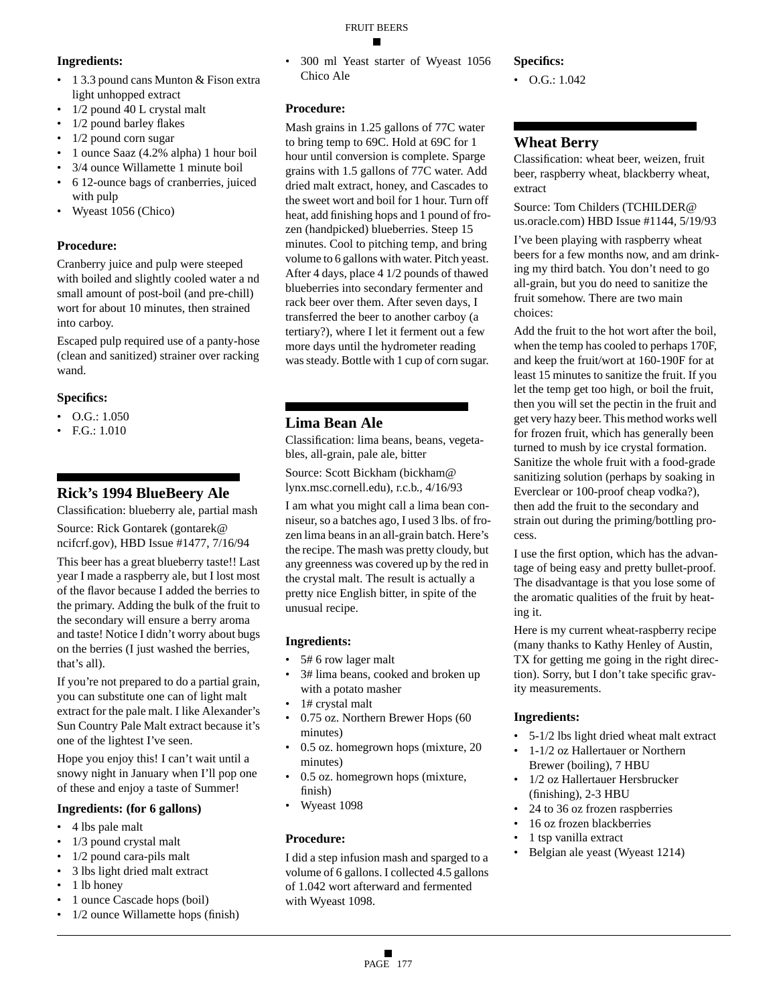#### FRUIT BEERS ▬

#### **Ingredients:**

- 1 3.3 pound cans Munton & Fison extra light unhopped extract
- 1/2 pound 40 L crystal malt
- 1/2 pound barley flakes
- 1/2 pound corn sugar
- 1 ounce Saaz (4.2% alpha) 1 hour boil
- 3/4 ounce Willamette 1 minute boil
- 6 12-ounce bags of cranberries, juiced with pulp
- Wyeast 1056 (Chico)

#### **Procedure:**

Cranberry juice and pulp were steeped with boiled and slightly cooled water a nd small amount of post-boil (and pre-chill) wort for about 10 minutes, then strained into carboy.

Escaped pulp required use of a panty-hose (clean and sanitized) strainer over racking wand.

#### **Specifics:**

- O.G.: 1.050
- F.G.: 1.010

## **Rick's 1994 BlueBeery Ale**

Classification: blueberry ale, partial mash Source: Rick Gontarek (gontarek@

ncifcrf.gov), HBD Issue #1477, 7/16/94

This beer has a great blueberry taste!! Last year I made a raspberry ale, but I lost most of the flavor because I added the berries to the primary. Adding the bulk of the fruit to the secondary will ensure a berry aroma and taste! Notice I didn't worry about bugs on the berries (I just washed the berries, that's all).

If you're not prepared to do a partial grain, you can substitute one can of light malt extract for the pale malt. I like Alexander's Sun Country Pale Malt extract because it's one of the lightest I've seen.

Hope you enjoy this! I can't wait until a snowy night in January when I'll pop one of these and enjoy a taste of Summer!

#### **Ingredients: (for 6 gallons)**

- 4 lbs pale malt
- 1/3 pound crystal malt
- 1/2 pound cara-pils malt
- 3 lbs light dried malt extract
- 1 lb honey
- 1 ounce Cascade hops (boil)
- 1/2 ounce Willamette hops (finish)

• 300 ml Yeast starter of Wyeast 1056 Chico Ale

## **Procedure:**

Mash grains in 1.25 gallons of 77C water to bring temp to 69C. Hold at 69C for 1 hour until conversion is complete. Sparge grains with 1.5 gallons of 77C water. Add dried malt extract, honey, and Cascades to the sweet wort and boil for 1 hour. Turn off heat, add finishing hops and 1 pound of frozen (handpicked) blueberries. Steep 15 minutes. Cool to pitching temp, and bring volume to 6 gallons with water. Pitch yeast. After 4 days, place 4 1/2 pounds of thawed blueberries into secondary fermenter and rack beer over them. After seven days, I transferred the beer to another carboy (a tertiary?), where I let it ferment out a few more days until the hydrometer reading was steady. Bottle with 1 cup of corn sugar.

## **Lima Bean Ale**

Classification: lima beans, beans, vegetables, all-grain, pale ale, bitter

Source: Scott Bickham (bickham@ lynx.msc.cornell.edu), r.c.b., 4/16/93

I am what you might call a lima bean conniseur, so a batches ago, I used 3 lbs. of frozen lima beans in an all-grain batch. Here's the recipe. The mash was pretty cloudy, but any greenness was covered up by the red in the crystal malt. The result is actually a pretty nice English bitter, in spite of the unusual recipe.

## **Ingredients:**

- 5# 6 row lager malt
- 3# lima beans, cooked and broken up with a potato masher
- 1# crystal malt
- 0.75 oz. Northern Brewer Hops (60 minutes)
- 0.5 oz. homegrown hops (mixture, 20 minutes)
- 0.5 oz. homegrown hops (mixture, finish)
- Wyeast 1098

## **Procedure:**

I did a step infusion mash and sparged to a volume of 6 gallons. I collected 4.5 gallons of 1.042 wort afterward and fermented with Wyeast 1098.

## **Specifics:**

•  $O.G.: 1.042$ 

## **Wheat Berry**

Classification: wheat beer, weizen, fruit beer, raspberry wheat, blackberry wheat, extract

Source: Tom Childers (TCHILDER@ us.oracle.com) HBD Issue #1144, 5/19/93

I've been playing with raspberry wheat beers for a few months now, and am drinking my third batch. You don't need to go all-grain, but you do need to sanitize the fruit somehow. There are two main choices:

Add the fruit to the hot wort after the boil, when the temp has cooled to perhaps 170F, and keep the fruit/wort at 160-190F for at least 15 minutes to sanitize the fruit. If you let the temp get too high, or boil the fruit, then you will set the pectin in the fruit and get very hazy beer. This method works well for frozen fruit, which has generally been turned to mush by ice crystal formation. Sanitize the whole fruit with a food-grade sanitizing solution (perhaps by soaking in Everclear or 100-proof cheap vodka?), then add the fruit to the secondary and strain out during the priming/bottling process.

I use the first option, which has the advantage of being easy and pretty bullet-proof. The disadvantage is that you lose some of the aromatic qualities of the fruit by heating it.

Here is my current wheat-raspberry recipe (many thanks to Kathy Henley of Austin, TX for getting me going in the right direction). Sorry, but I don't take specific gravity measurements.

- 5-1/2 lbs light dried wheat malt extract
- 1-1/2 oz Hallertauer or Northern Brewer (boiling), 7 HBU
- 1/2 oz Hallertauer Hersbrucker (finishing), 2-3 HBU
- 24 to 36 oz frozen raspberries
- 16 oz frozen blackberries
- 1 tsp vanilla extract
- Belgian ale yeast (Wyeast 1214)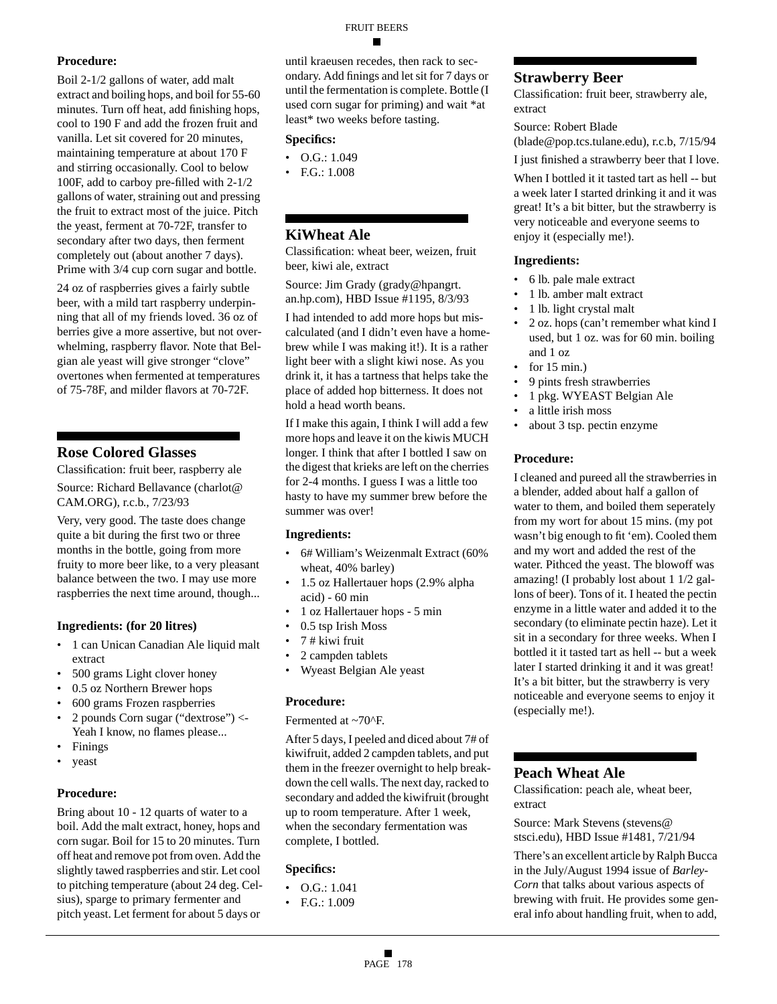#### **Procedure:**

Boil 2-1/2 gallons of water, add malt extract and boiling hops, and boil for 55-60 minutes. Turn off heat, add finishing hops, cool to 190 F and add the frozen fruit and vanilla. Let sit covered for 20 minutes, maintaining temperature at about 170 F and stirring occasionally. Cool to below 100F, add to carboy pre-filled with 2-1/2 gallons of water, straining out and pressing the fruit to extract most of the juice. Pitch the yeast, ferment at 70-72F, transfer to secondary after two days, then ferment completely out (about another 7 days). Prime with 3/4 cup corn sugar and bottle.

24 oz of raspberries gives a fairly subtle beer, with a mild tart raspberry underpinning that all of my friends loved. 36 oz of berries give a more assertive, but not overwhelming, raspberry flavor. Note that Belgian ale yeast will give stronger "clove" overtones when fermented at temperatures of 75-78F, and milder flavors at 70-72F.

## **Rose Colored Glasses**

Classification: fruit beer, raspberry ale Source: Richard Bellavance (charlot@

CAM.ORG), r.c.b., 7/23/93

Very, very good. The taste does change quite a bit during the first two or three months in the bottle, going from more fruity to more beer like, to a very pleasant balance between the two. I may use more raspberries the next time around, though...

## **Ingredients: (for 20 litres)**

- 1 can Unican Canadian Ale liquid malt extract
- 500 grams Light clover honey
- 0.5 oz Northern Brewer hops
- 600 grams Frozen raspberries
- 2 pounds Corn sugar ("dextrose") <- Yeah I know, no flames please...
- **Finings**
- yeast

## **Procedure:**

Bring about 10 - 12 quarts of water to a boil. Add the malt extract, honey, hops and corn sugar. Boil for 15 to 20 minutes. Turn off heat and remove pot from oven. Add the slightly tawed raspberries and stir. Let cool to pitching temperature (about 24 deg. Celsius), sparge to primary fermenter and pitch yeast. Let ferment for about 5 days or

until kraeusen recedes, then rack to secondary. Add finings and let sit for 7 days or until the fermentation is complete. Bottle (I used corn sugar for priming) and wait \*at least\* two weeks before tasting.

#### **Specifics:**

- $\bullet$  O.G.: 1.049
- F.G.: 1.008

## **KiWheat Ale**

Classification: wheat beer, weizen, fruit beer, kiwi ale, extract

Source: Jim Grady (grady@hpangrt. an.hp.com), HBD Issue #1195, 8/3/93

I had intended to add more hops but miscalculated (and I didn't even have a homebrew while I was making it!). It is a rather light beer with a slight kiwi nose. As you drink it, it has a tartness that helps take the place of added hop bitterness. It does not hold a head worth beans.

If I make this again, I think I will add a few more hops and leave it on the kiwis MUCH longer. I think that after I bottled I saw on the digest that krieks are left on the cherries for 2-4 months. I guess I was a little too hasty to have my summer brew before the summer was over!

#### **Ingredients:**

- 6# William's Weizenmalt Extract (60% wheat, 40% barley)
- 1.5 oz Hallertauer hops (2.9% alpha acid) - 60 min
- 1 oz Hallertauer hops 5 min
- 0.5 tsp Irish Moss
- 7 # kiwi fruit
- 2 campden tablets
- Wyeast Belgian Ale yeast

#### **Procedure:**

Fermented at ~70^F.

After 5 days, I peeled and diced about 7# of kiwifruit, added 2 campden tablets, and put them in the freezer overnight to help breakdown the cell walls. The next day, racked to secondary and added the kiwifruit (brought up to room temperature. After 1 week, when the secondary fermentation was complete, I bottled.

## **Specifics:**

- O.G.: 1.041
- F.G.: 1.009

## **Strawberry Beer**

Classification: fruit beer, strawberry ale, extract

Source: Robert Blade

(blade@pop.tcs.tulane.edu), r.c.b, 7/15/94

I just finished a strawberry beer that I love.

When I bottled it it tasted tart as hell -- but a week later I started drinking it and it was great! It's a bit bitter, but the strawberry is very noticeable and everyone seems to enjoy it (especially me!).

#### **Ingredients:**

- 6 lb. pale male extract
- 1 lb. amber malt extract
- 1 lb. light crystal malt
- 2 oz. hops (can't remember what kind I used, but 1 oz. was for 60 min. boiling and 1 oz
- for  $15 \text{ min.}$ )
- 9 pints fresh strawberries
- 1 pkg. WYEAST Belgian Ale
- a little irish moss
- about 3 tsp. pectin enzyme

#### **Procedure:**

I cleaned and pureed all the strawberries in a blender, added about half a gallon of water to them, and boiled them seperately from my wort for about 15 mins. (my pot wasn't big enough to fit 'em). Cooled them and my wort and added the rest of the water. Pithced the yeast. The blowoff was amazing! (I probably lost about 1 1/2 gallons of beer). Tons of it. I heated the pectin enzyme in a little water and added it to the secondary (to eliminate pectin haze). Let it sit in a secondary for three weeks. When I bottled it it tasted tart as hell -- but a week later I started drinking it and it was great! It's a bit bitter, but the strawberry is very noticeable and everyone seems to enjoy it (especially me!).

## **Peach Wheat Ale**

Classification: peach ale, wheat beer, extract

Source: Mark Stevens (stevens@ stsci.edu), HBD Issue #1481, 7/21/94

There's an excellent article by Ralph Bucca in the July/August 1994 issue of *Barley-Corn* that talks about various aspects of brewing with fruit. He provides some general info about handling fruit, when to add,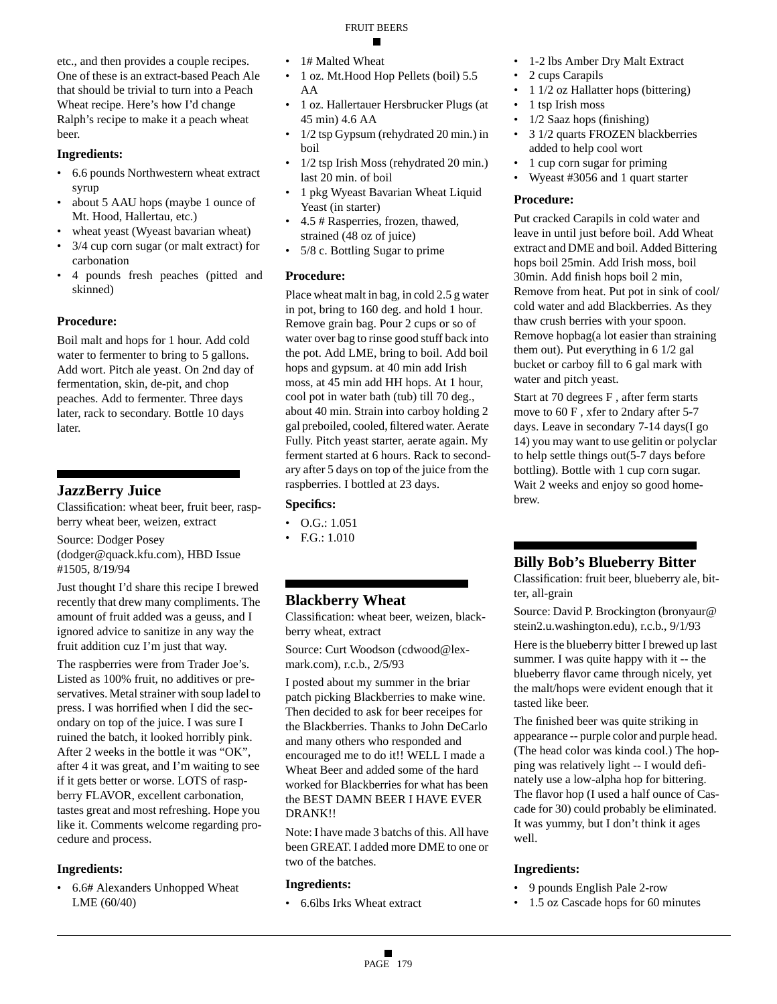etc., and then provides a couple recipes. One of these is an extract-based Peach Ale that should be trivial to turn into a Peach Wheat recipe. Here's how I'd change Ralph's recipe to make it a peach wheat beer.

#### **Ingredients:**

- 6.6 pounds Northwestern wheat extract syrup
- about 5 AAU hops (maybe 1 ounce of Mt. Hood, Hallertau, etc.)
- wheat yeast (Wyeast bavarian wheat)
- 3/4 cup corn sugar (or malt extract) for carbonation
- 4 pounds fresh peaches (pitted and skinned)

#### **Procedure:**

Boil malt and hops for 1 hour. Add cold water to fermenter to bring to 5 gallons. Add wort. Pitch ale yeast. On 2nd day of fermentation, skin, de-pit, and chop peaches. Add to fermenter. Three days later, rack to secondary. Bottle 10 days later.

## **JazzBerry Juice**

Classification: wheat beer, fruit beer, raspberry wheat beer, weizen, extract

Source: Dodger Posey

(dodger@quack.kfu.com), HBD Issue #1505, 8/19/94

Just thought I'd share this recipe I brewed recently that drew many compliments. The amount of fruit added was a geuss, and I ignored advice to sanitize in any way the fruit addition cuz I'm just that way.

The raspberries were from Trader Joe's. Listed as 100% fruit, no additives or preservatives. Metal strainer with soup ladel to press. I was horrified when I did the secondary on top of the juice. I was sure I ruined the batch, it looked horribly pink. After 2 weeks in the bottle it was "OK", after 4 it was great, and I'm waiting to see if it gets better or worse. LOTS of raspberry FLAVOR, excellent carbonation, tastes great and most refreshing. Hope you like it. Comments welcome regarding procedure and process.

#### **Ingredients:**

• 6.6# Alexanders Unhopped Wheat LME (60/40)

- 1# Malted Wheat
- 1 oz. Mt.Hood Hop Pellets (boil) 5.5 AA
- 1 oz. Hallertauer Hersbrucker Plugs (at 45 min) 4.6 AA
- 1/2 tsp Gypsum (rehydrated 20 min.) in boil
- 1/2 tsp Irish Moss (rehydrated 20 min.) last 20 min. of boil
- 1 pkg Wyeast Bavarian Wheat Liquid Yeast (in starter)
- 4.5 # Rasperries, frozen, thawed, strained (48 oz of juice)
- 5/8 c. Bottling Sugar to prime

#### **Procedure:**

Place wheat malt in bag, in cold 2.5 g water in pot, bring to 160 deg. and hold 1 hour. Remove grain bag. Pour 2 cups or so of water over bag to rinse good stuff back into the pot. Add LME, bring to boil. Add boil hops and gypsum. at 40 min add Irish moss, at 45 min add HH hops. At 1 hour, cool pot in water bath (tub) till 70 deg., about 40 min. Strain into carboy holding 2 gal preboiled, cooled, filtered water. Aerate Fully. Pitch yeast starter, aerate again. My ferment started at 6 hours. Rack to secondary after 5 days on top of the juice from the raspberries. I bottled at 23 days.

#### **Specifics:**

- $\bullet$  O.G.: 1.051
- F.G.: 1.010

## **Blackberry Wheat**

Classification: wheat beer, weizen, blackberry wheat, extract

Source: Curt Woodson (cdwood@lexmark.com), r.c.b., 2/5/93

I posted about my summer in the briar patch picking Blackberries to make wine. Then decided to ask for beer receipes for the Blackberries. Thanks to John DeCarlo and many others who responded and encouraged me to do it!! WELL I made a Wheat Beer and added some of the hard worked for Blackberries for what has been the BEST DAMN BEER I HAVE EVER DRANK!!

Note: I have made 3 batchs of this. All have been GREAT. I added more DME to one or two of the batches.

#### **Ingredients:**

• 6.6lbs Irks Wheat extract

- 1-2 lbs Amber Dry Malt Extract
- 2 cups Carapils
- 1 1/2 oz Hallatter hops (bittering)
- 1 tsp Irish moss
- 1/2 Saaz hops (finishing)
- 3 1/2 quarts FROZEN blackberries added to help cool wort
- 1 cup corn sugar for priming
- Wyeast #3056 and 1 quart starter

#### **Procedure:**

Put cracked Carapils in cold water and leave in until just before boil. Add Wheat extract and DME and boil. Added Bittering hops boil 25min. Add Irish moss, boil 30min. Add finish hops boil 2 min, Remove from heat. Put pot in sink of cool/ cold water and add Blackberries. As they thaw crush berries with your spoon. Remove hopbag(a lot easier than straining them out). Put everything in 6 1/2 gal bucket or carboy fill to 6 gal mark with water and pitch yeast.

Start at 70 degrees F , after ferm starts move to 60 F , xfer to 2ndary after 5-7 days. Leave in secondary 7-14 days(I go 14) you may want to use gelitin or polyclar to help settle things out(5-7 days before bottling). Bottle with 1 cup corn sugar. Wait 2 weeks and enjoy so good homebrew.

## **Billy Bob's Blueberry Bitter**

Classification: fruit beer, blueberry ale, bitter, all-grain

Source: David P. Brockington (bronyaur@ stein2.u.washington.edu), r.c.b., 9/1/93

Here is the blueberry bitter I brewed up last summer. I was quite happy with it -- the blueberry flavor came through nicely, yet the malt/hops were evident enough that it tasted like beer.

The finished beer was quite striking in appearance -- purple color and purple head. (The head color was kinda cool.) The hopping was relatively light -- I would definately use a low-alpha hop for bittering. The flavor hop (I used a half ounce of Cascade for 30) could probably be eliminated. It was yummy, but I don't think it ages well.

- 9 pounds English Pale 2-row
- 1.5 oz Cascade hops for 60 minutes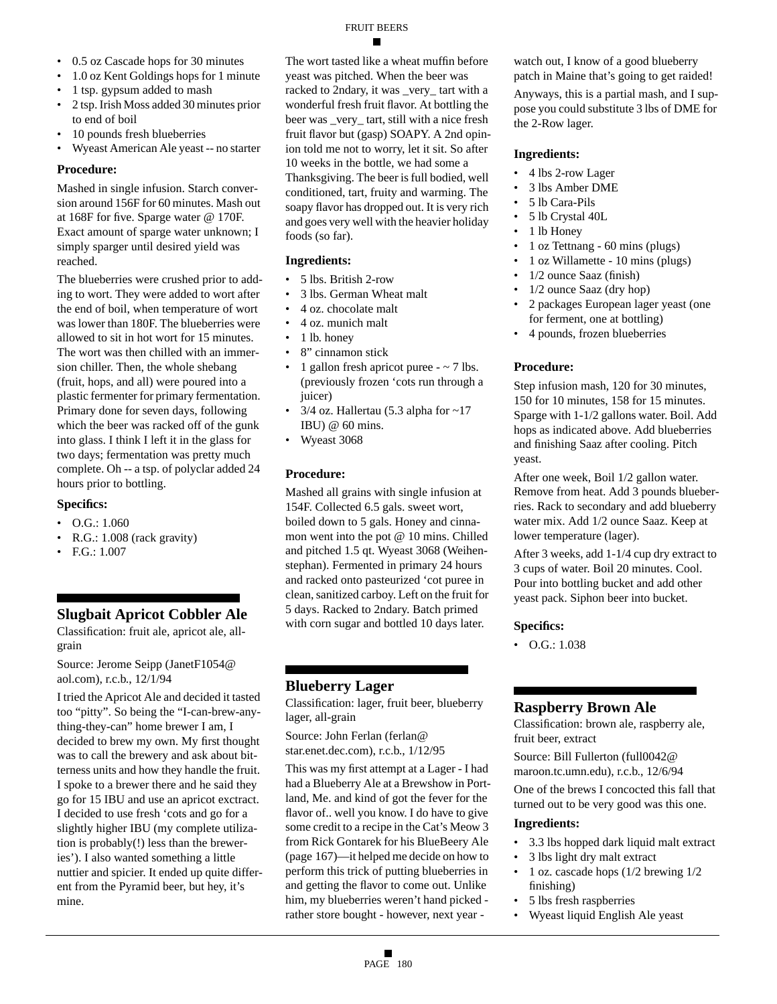## FRUIT BEERS

- 0.5 oz Cascade hops for 30 minutes
- 1.0 oz Kent Goldings hops for 1 minute
- 1 tsp. gypsum added to mash
- 2 tsp. Irish Moss added 30 minutes prior to end of boil
- 10 pounds fresh blueberries
- Wyeast American Ale yeast -- no starter

#### **Procedure:**

Mashed in single infusion. Starch conversion around 156F for 60 minutes. Mash out at 168F for five. Sparge water @ 170F. Exact amount of sparge water unknown; I simply sparger until desired yield was reached.

The blueberries were crushed prior to adding to wort. They were added to wort after the end of boil, when temperature of wort was lower than 180F. The blueberries were allowed to sit in hot wort for 15 minutes. The wort was then chilled with an immersion chiller. Then, the whole shebang (fruit, hops, and all) were poured into a plastic fermenter for primary fermentation. Primary done for seven days, following which the beer was racked off of the gunk into glass. I think I left it in the glass for two days; fermentation was pretty much complete. Oh -- a tsp. of polyclar added 24 hours prior to bottling.

#### **Specifics:**

- O.G.: 1.060
- R.G.: 1.008 (rack gravity)
- F.G.: 1.007

## **Slugbait Apricot Cobbler Ale**

Classification: fruit ale, apricot ale, allgrain

Source: Jerome Seipp (JanetF1054@ aol.com), r.c.b., 12/1/94

I tried the Apricot Ale and decided it tasted too "pitty". So being the "I-can-brew-anything-they-can" home brewer I am, I decided to brew my own. My first thought was to call the brewery and ask about bitterness units and how they handle the fruit. I spoke to a brewer there and he said they go for 15 IBU and use an apricot exctract. I decided to use fresh 'cots and go for a slightly higher IBU (my complete utilization is probably(!) less than the breweries'). I also wanted something a little nuttier and spicier. It ended up quite different from the Pyramid beer, but hey, it's mine.

The wort tasted like a wheat muffin before yeast was pitched. When the beer was racked to 2ndary, it was \_very\_ tart with a wonderful fresh fruit flavor. At bottling the beer was \_very\_ tart, still with a nice fresh fruit flavor but (gasp) SOAPY. A 2nd opinion told me not to worry, let it sit. So after 10 weeks in the bottle, we had some a Thanksgiving. The beer is full bodied, well conditioned, tart, fruity and warming. The soapy flavor has dropped out. It is very rich and goes very well with the heavier holiday foods (so far).

#### **Ingredients:**

- 5 lbs. British 2-row
- 3 lbs. German Wheat malt
- 4 oz. chocolate malt
- 4 oz. munich malt
- 1 lb. honey
- 8" cinnamon stick
- 1 gallon fresh apricot puree  $\sim$  7 lbs. (previously frozen 'cots run through a juicer)
- $3/4$  oz. Hallertau (5.3 alpha for  $\sim$ 17 IBU) @ 60 mins.
- Wyeast 3068

#### **Procedure:**

Mashed all grains with single infusion at 154F. Collected 6.5 gals. sweet wort, boiled down to 5 gals. Honey and cinnamon went into the pot @ 10 mins. Chilled and pitched 1.5 qt. Wyeast 3068 (Weihenstephan). Fermented in primary 24 hours and racked onto pasteurized 'cot puree in clean, sanitized carboy. Left on the fruit for 5 days. Racked to 2ndary. Batch primed with corn sugar and bottled 10 days later.

#### **Blueberry Lager**

Classification: lager, fruit beer, blueberry lager, all-grain

Source: John Ferlan (ferlan@ star.enet.dec.com), r.c.b., 1/12/95

This was my first attempt at a Lager - I had had a Blueberry Ale at a Brewshow in Portland, Me. and kind of got the fever for the flavor of.. well you know. I do have to give some credit to a recipe in the Cat's Meow 3 from Rick Gontarek for his BlueBeery Ale (page 167)—it helped me decide on how to perform this trick of putting blueberries in and getting the flavor to come out. Unlike him, my blueberries weren't hand picked rather store bought - however, next year -

watch out, I know of a good blueberry patch in Maine that's going to get raided!

Anyways, this is a partial mash, and I suppose you could substitute 3 lbs of DME for the 2-Row lager.

#### **Ingredients:**

- 4 lbs 2-row Lager
- 3 lbs Amber DME
- 5 lb Cara-Pils
- 5 lb Crystal 40L
- 1 lb Honey
- 1 oz Tettnang 60 mins (plugs)
- 1 oz Willamette 10 mins (plugs)
- 1/2 ounce Saaz (finish)
- 1/2 ounce Saaz (dry hop)
- 2 packages European lager yeast (one for ferment, one at bottling)
- 4 pounds, frozen blueberries

#### **Procedure:**

Step infusion mash, 120 for 30 minutes, 150 for 10 minutes, 158 for 15 minutes. Sparge with 1-1/2 gallons water. Boil. Add hops as indicated above. Add blueberries and finishing Saaz after cooling. Pitch yeast.

After one week, Boil 1/2 gallon water. Remove from heat. Add 3 pounds blueberries. Rack to secondary and add blueberry water mix. Add 1/2 ounce Saaz. Keep at lower temperature (lager).

After 3 weeks, add 1-1/4 cup dry extract to 3 cups of water. Boil 20 minutes. Cool. Pour into bottling bucket and add other yeast pack. Siphon beer into bucket.

#### **Specifics:**

 $\bullet$  O.G.: 1.038

#### **Raspberry Brown Ale**

Classification: brown ale, raspberry ale, fruit beer, extract

Source: Bill Fullerton (full0042@ maroon.tc.umn.edu), r.c.b., 12/6/94

One of the brews I concocted this fall that turned out to be very good was this one.

- 3.3 lbs hopped dark liquid malt extract
- 3 lbs light dry malt extract
- 1 oz. cascade hops (1/2 brewing 1/2 finishing)
- 5 lbs fresh raspberries
- Wyeast liquid English Ale yeast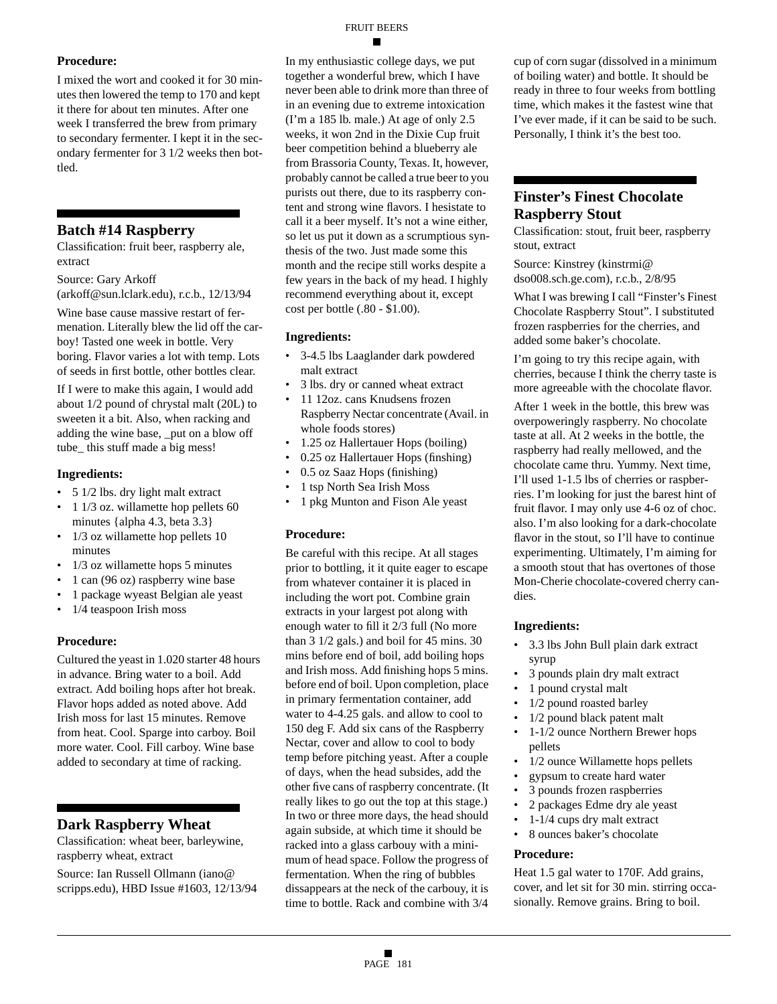#### **Procedure:**

I mixed the wort and cooked it for 30 minutes then lowered the temp to 170 and kept it there for about ten minutes. After one week I transferred the brew from primary to secondary fermenter. I kept it in the secondary fermenter for 3 1/2 weeks then bottled.

## **Batch #14 Raspberry**

Classification: fruit beer, raspberry ale, extract

Source: Gary Arkoff

(arkoff@sun.lclark.edu), r.c.b., 12/13/94

Wine base cause massive restart of fermenation. Literally blew the lid off the carboy! Tasted one week in bottle. Very boring. Flavor varies a lot with temp. Lots of seeds in first bottle, other bottles clear.

If I were to make this again, I would add about 1/2 pound of chrystal malt (20L) to sweeten it a bit. Also, when racking and adding the wine base, \_put on a blow off tube\_ this stuff made a big mess!

#### **Ingredients:**

- 5 1/2 lbs. dry light malt extract
- 1 1/3 oz. willamette hop pellets 60 minutes {alpha 4.3, beta 3.3}
- 1/3 oz willamette hop pellets 10 minutes
- 1/3 oz willamette hops 5 minutes
- 1 can (96 oz) raspberry wine base
- 1 package wyeast Belgian ale yeast
- 1/4 teaspoon Irish moss

#### **Procedure:**

Cultured the yeast in 1.020 starter 48 hours in advance. Bring water to a boil. Add extract. Add boiling hops after hot break. Flavor hops added as noted above. Add Irish moss for last 15 minutes. Remove from heat. Cool. Sparge into carboy. Boil more water. Cool. Fill carboy. Wine base added to secondary at time of racking.

## **Dark Raspberry Wheat**

Classification: wheat beer, barleywine, raspberry wheat, extract

Source: Ian Russell Ollmann (iano@ scripps.edu), HBD Issue #1603, 12/13/94 In my enthusiastic college days, we put together a wonderful brew, which I have never been able to drink more than three of in an evening due to extreme intoxication (I'm a 185 lb. male.) At age of only 2.5 weeks, it won 2nd in the Dixie Cup fruit beer competition behind a blueberry ale from Brassoria County, Texas. It, however, probably cannot be called a true beer to you purists out there, due to its raspberry content and strong wine flavors. I hesistate to call it a beer myself. It's not a wine either, so let us put it down as a scrumptious synthesis of the two. Just made some this month and the recipe still works despite a few years in the back of my head. I highly recommend everything about it, except cost per bottle (.80 - \$1.00).

#### **Ingredients:**

- 3-4.5 lbs Laaglander dark powdered malt extract
- 3 lbs. dry or canned wheat extract
- 11 12oz. cans Knudsens frozen Raspberry Nectar concentrate (Avail. in whole foods stores)
- 1.25 oz Hallertauer Hops (boiling)
- 0.25 oz Hallertauer Hops (finshing)
- 0.5 oz Saaz Hops (finishing)
- 1 tsp North Sea Irish Moss
- 1 pkg Munton and Fison Ale yeast

#### **Procedure:**

Be careful with this recipe. At all stages prior to bottling, it it quite eager to escape from whatever container it is placed in including the wort pot. Combine grain extracts in your largest pot along with enough water to fill it 2/3 full (No more than 3 1/2 gals.) and boil for 45 mins. 30 mins before end of boil, add boiling hops and Irish moss. Add finishing hops 5 mins. before end of boil. Upon completion, place in primary fermentation container, add water to 4-4.25 gals. and allow to cool to 150 deg F. Add six cans of the Raspberry Nectar, cover and allow to cool to body temp before pitching yeast. After a couple of days, when the head subsides, add the other five cans of raspberry concentrate. (It really likes to go out the top at this stage.) In two or three more days, the head should again subside, at which time it should be racked into a glass carbouy with a minimum of head space. Follow the progress of fermentation. When the ring of bubbles dissappears at the neck of the carbouy, it is time to bottle. Rack and combine with 3/4

cup of corn sugar (dissolved in a minimum of boiling water) and bottle. It should be ready in three to four weeks from bottling time, which makes it the fastest wine that I've ever made, if it can be said to be such. Personally, I think it's the best too.

## **Finster's Finest Chocolate Raspberry Stout**

Classification: stout, fruit beer, raspberry stout, extract

Source: Kinstrey (kinstrmi@ dso008.sch.ge.com), r.c.b., 2/8/95

What I was brewing I call "Finster's Finest Chocolate Raspberry Stout". I substituted frozen raspberries for the cherries, and added some baker's chocolate.

I'm going to try this recipe again, with cherries, because I think the cherry taste is more agreeable with the chocolate flavor.

After 1 week in the bottle, this brew was overpoweringly raspberry. No chocolate taste at all. At 2 weeks in the bottle, the raspberry had really mellowed, and the chocolate came thru. Yummy. Next time, I'll used 1-1.5 lbs of cherries or raspberries. I'm looking for just the barest hint of fruit flavor. I may only use 4-6 oz of choc. also. I'm also looking for a dark-chocolate flavor in the stout, so I'll have to continue experimenting. Ultimately, I'm aiming for a smooth stout that has overtones of those Mon-Cherie chocolate-covered cherry candies.

#### **Ingredients:**

- 3.3 lbs John Bull plain dark extract syrup
- 3 pounds plain dry malt extract
- 1 pound crystal malt
- 1/2 pound roasted barley
- 1/2 pound black patent malt
- 1-1/2 ounce Northern Brewer hops pellets
- 1/2 ounce Willamette hops pellets
- gypsum to create hard water
- 3 pounds frozen raspberries
- 2 packages Edme dry ale yeast
- 1-1/4 cups dry malt extract
- 8 ounces baker's chocolate

#### **Procedure:**

Heat 1.5 gal water to 170F. Add grains, cover, and let sit for 30 min. stirring occasionally. Remove grains. Bring to boil.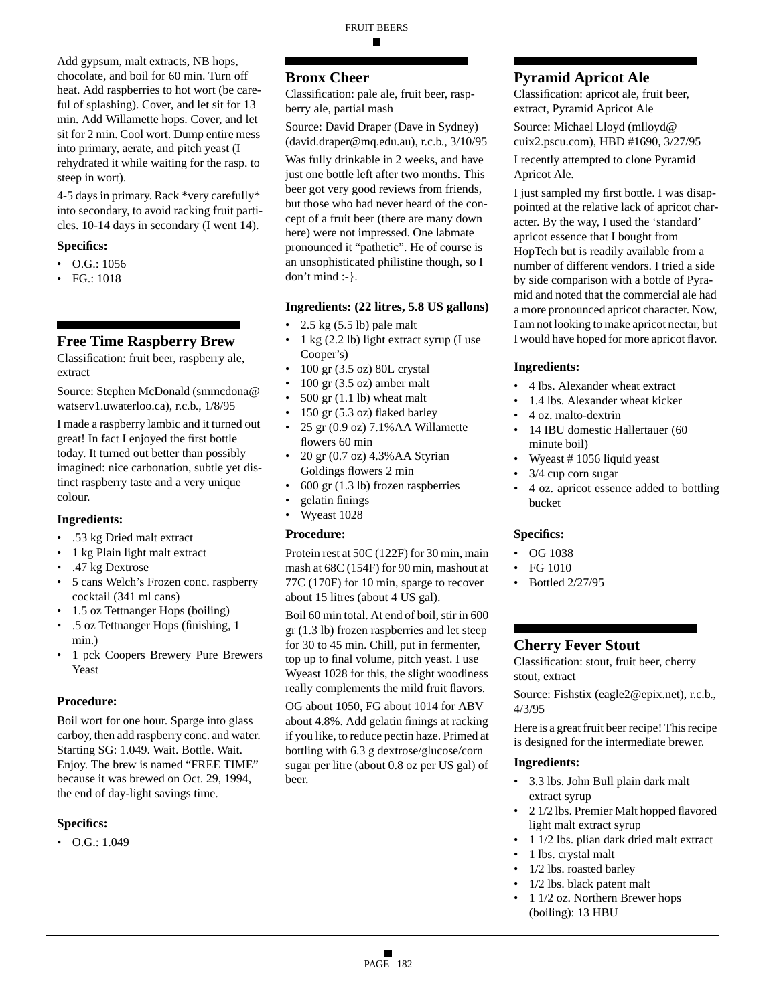Add gypsum, malt extracts, NB hops, chocolate, and boil for 60 min. Turn off heat. Add raspberries to hot wort (be careful of splashing). Cover, and let sit for 13 min. Add Willamette hops. Cover, and let sit for 2 min. Cool wort. Dump entire mess into primary, aerate, and pitch yeast (I rehydrated it while waiting for the rasp. to steep in wort).

4-5 days in primary. Rack \*very carefully\* into secondary, to avoid racking fruit particles. 10-14 days in secondary (I went 14).

#### **Specifics:**

- O.G.: 1056
- FG.: 1018

## **Free Time Raspberry Brew**

Classification: fruit beer, raspberry ale, extract

Source: Stephen McDonald (smmcdona@ watserv1.uwaterloo.ca), r.c.b., 1/8/95

I made a raspberry lambic and it turned out great! In fact I enjoyed the first bottle today. It turned out better than possibly imagined: nice carbonation, subtle yet distinct raspberry taste and a very unique colour.

#### **Ingredients:**

- .53 kg Dried malt extract
- 1 kg Plain light malt extract
- .47 kg Dextrose
- 5 cans Welch's Frozen conc. raspberry cocktail (341 ml cans)
- 1.5 oz Tettnanger Hops (boiling)
- .5 oz Tettnanger Hops (finishing, 1 min.)
- 1 pck Coopers Brewery Pure Brewers Yeast

#### **Procedure:**

Boil wort for one hour. Sparge into glass carboy, then add raspberry conc. and water. Starting SG: 1.049. Wait. Bottle. Wait. Enjoy. The brew is named "FREE TIME" because it was brewed on Oct. 29, 1994, the end of day-light savings time.

#### **Specifics:**

• O.G.: 1.049

## **Bronx Cheer**

Classification: pale ale, fruit beer, raspberry ale, partial mash

Source: David Draper (Dave in Sydney) (david.draper@mq.edu.au), r.c.b., 3/10/95

Was fully drinkable in 2 weeks, and have just one bottle left after two months. This beer got very good reviews from friends, but those who had never heard of the concept of a fruit beer (there are many down here) were not impressed. One labmate pronounced it "pathetic". He of course is an unsophisticated philistine though, so I don't mind :-}.

#### **Ingredients: (22 litres, 5.8 US gallons)**

- 2.5 kg (5.5 lb) pale malt
- 1 kg (2.2 lb) light extract syrup (I use Cooper's)
- 100 gr (3.5 oz) 80L crystal
- 100 gr (3.5 oz) amber malt
- $500$  gr  $(1.1$  lb) wheat malt
- 150 gr (5.3 oz) flaked barley
- 25 gr (0.9 oz) 7.1%AA Willamette flowers 60 min
- 20 gr  $(0.7 \text{ oz})$  4.3% AA Styrian Goldings flowers 2 min
- 600 gr (1.3 lb) frozen raspberries
- gelatin finings
- Wyeast 1028

#### **Procedure:**

Protein rest at 50C (122F) for 30 min, main mash at 68C (154F) for 90 min, mashout at 77C (170F) for 10 min, sparge to recover about 15 litres (about 4 US gal).

Boil 60 min total. At end of boil, stir in 600 gr (1.3 lb) frozen raspberries and let steep for 30 to 45 min. Chill, put in fermenter, top up to final volume, pitch yeast. I use Wyeast 1028 for this, the slight woodiness really complements the mild fruit flavors.

OG about 1050, FG about 1014 for ABV about 4.8%. Add gelatin finings at racking if you like, to reduce pectin haze. Primed at bottling with 6.3 g dextrose/glucose/corn sugar per litre (about 0.8 oz per US gal) of beer.

## **Pyramid Apricot Ale**

Classification: apricot ale, fruit beer, extract, Pyramid Apricot Ale

Source: Michael Lloyd (mlloyd@ cuix2.pscu.com), HBD #1690, 3/27/95

I recently attempted to clone Pyramid Apricot Ale.

I just sampled my first bottle. I was disappointed at the relative lack of apricot character. By the way, I used the 'standard' apricot essence that I bought from HopTech but is readily available from a number of different vendors. I tried a side by side comparison with a bottle of Pyramid and noted that the commercial ale had a more pronounced apricot character. Now, I am not looking to make apricot nectar, but I would have hoped for more apricot flavor.

#### **Ingredients:**

- 4 lbs. Alexander wheat extract
- 1.4 lbs. Alexander wheat kicker
- 4 oz. malto-dextrin
- 14 IBU domestic Hallertauer (60 minute boil)
- Wyeast # 1056 liquid yeast
- 3/4 cup corn sugar
- 4 oz. apricot essence added to bottling bucket

#### **Specifics:**

- OG 1038
- FG 1010
- Bottled 2/27/95

## **Cherry Fever Stout**

Classification: stout, fruit beer, cherry stout, extract

Source: Fishstix (eagle2@epix.net), r.c.b., 4/3/95

Here is a great fruit beer recipe! This recipe is designed for the intermediate brewer.

- 3.3 lbs. John Bull plain dark malt extract syrup
- 2 1/2 lbs. Premier Malt hopped flavored light malt extract syrup
- 1 1/2 lbs. plian dark dried malt extract
- 1 lbs. crystal malt
- 1/2 lbs. roasted barley
- 1/2 lbs. black patent malt
- 1 1/2 oz. Northern Brewer hops (boiling): 13 HBU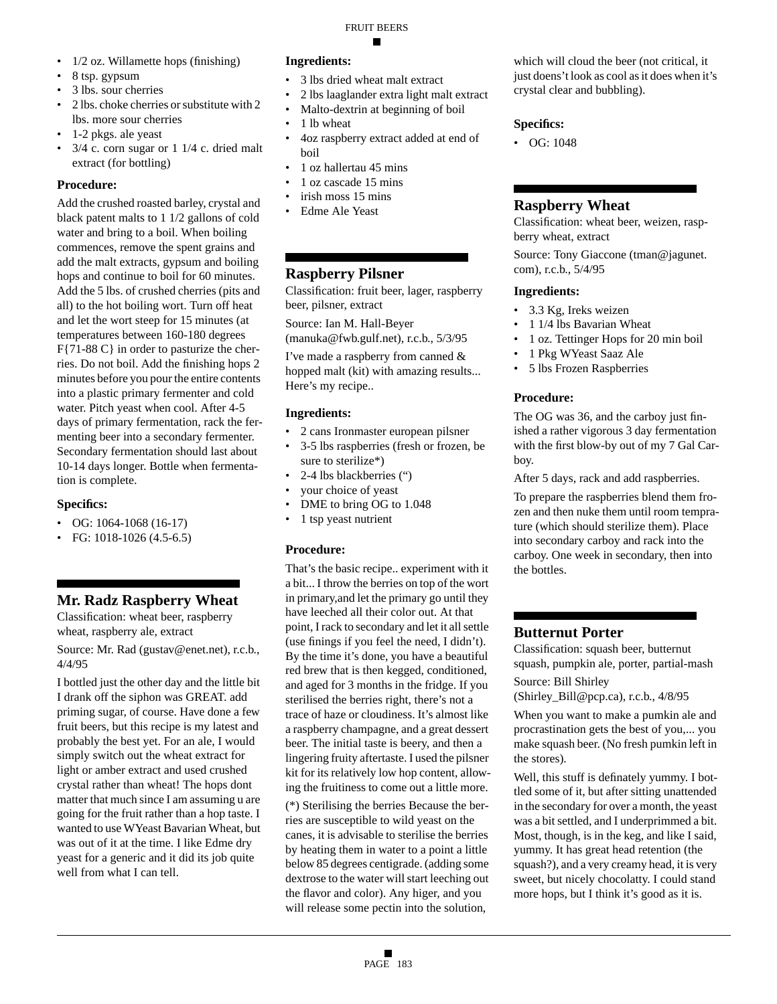FRUIT BEERS

- 1/2 oz. Willamette hops (finishing)
- 8 tsp. gypsum
- 3 lbs. sour cherries
- 2 lbs. choke cherries or substitute with 2 lbs. more sour cherries
- 1-2 pkgs. ale yeast
- $\bullet$  3/4 c. corn sugar or 1 1/4 c. dried malt extract (for bottling)

#### **Procedure:**

Add the crushed roasted barley, crystal and black patent malts to 1 1/2 gallons of cold water and bring to a boil. When boiling commences, remove the spent grains and add the malt extracts, gypsum and boiling hops and continue to boil for 60 minutes. Add the 5 lbs. of crushed cherries (pits and all) to the hot boiling wort. Turn off heat and let the wort steep for 15 minutes (at temperatures between 160-180 degrees F{71-88 C} in order to pasturize the cherries. Do not boil. Add the finishing hops 2 minutes before you pour the entire contents into a plastic primary fermenter and cold water. Pitch yeast when cool. After 4-5 days of primary fermentation, rack the fermenting beer into a secondary fermenter. Secondary fermentation should last about 10-14 days longer. Bottle when fermentation is complete.

#### **Specifics:**

- OG: 1064-1068 (16-17)
- FG:  $1018-1026$  (4.5-6.5)

## **Mr. Radz Raspberry Wheat**

Classification: wheat beer, raspberry wheat, raspberry ale, extract

Source: Mr. Rad (gustav@enet.net), r.c.b., 4/4/95

I bottled just the other day and the little bit I drank off the siphon was GREAT. add priming sugar, of course. Have done a few fruit beers, but this recipe is my latest and probably the best yet. For an ale, I would simply switch out the wheat extract for light or amber extract and used crushed crystal rather than wheat! The hops dont matter that much since I am assuming u are going for the fruit rather than a hop taste. I wanted to use WYeast Bavarian Wheat, but was out of it at the time. I like Edme dry yeast for a generic and it did its job quite well from what I can tell.

## **Ingredients:**

- 3 lbs dried wheat malt extract
- 2 lbs laaglander extra light malt extract
- Malto-dextrin at beginning of boil
- 1 lb wheat
- 4oz raspberry extract added at end of boil
- 1 oz hallertau 45 mins
- 1 oz cascade 15 mins
- irish moss 15 mins
- Edme Ale Yeast

## **Raspberry Pilsner**

Classification: fruit beer, lager, raspberry beer, pilsner, extract

Source: Ian M. Hall-Beyer

(manuka@fwb.gulf.net), r.c.b., 5/3/95

I've made a raspberry from canned & hopped malt (kit) with amazing results... Here's my recipe..

#### **Ingredients:**

- 2 cans Ironmaster european pilsner
- 3-5 lbs raspberries (fresh or frozen, be sure to sterilize\*)
- 2-4 lbs blackberries (")
- your choice of yeast
- DME to bring OG to 1.048
- 1 tsp yeast nutrient

#### **Procedure:**

That's the basic recipe.. experiment with it a bit... I throw the berries on top of the wort in primary,and let the primary go until they have leeched all their color out. At that point, I rack to secondary and let it all settle (use finings if you feel the need, I didn't). By the time it's done, you have a beautiful red brew that is then kegged, conditioned, and aged for 3 months in the fridge. If you sterilised the berries right, there's not a trace of haze or cloudiness. It's almost like a raspberry champagne, and a great dessert beer. The initial taste is beery, and then a lingering fruity aftertaste. I used the pilsner kit for its relatively low hop content, allowing the fruitiness to come out a little more.

(\*) Sterilising the berries Because the berries are susceptible to wild yeast on the canes, it is advisable to sterilise the berries by heating them in water to a point a little below 85 degrees centigrade. (adding some dextrose to the water will start leeching out the flavor and color). Any higer, and you will release some pectin into the solution,

which will cloud the beer (not critical, it just doens't look as cool as it does when it's crystal clear and bubbling).

#### **Specifics:**

• OG: 1048

## **Raspberry Wheat**

Classification: wheat beer, weizen, raspberry wheat, extract

Source: Tony Giaccone (tman@jagunet. com), r.c.b., 5/4/95

#### **Ingredients:**

- 3.3 Kg, Ireks weizen
- 1 1/4 lbs Bavarian Wheat
- 1 oz. Tettinger Hops for 20 min boil
- 1 Pkg WYeast Saaz Ale
- 5 lbs Frozen Raspberries

#### **Procedure:**

The OG was 36, and the carboy just finished a rather vigorous 3 day fermentation with the first blow-by out of my 7 Gal Carboy.

After 5 days, rack and add raspberries.

To prepare the raspberries blend them frozen and then nuke them until room temprature (which should sterilize them). Place into secondary carboy and rack into the carboy. One week in secondary, then into the bottles.

## **Butternut Porter**

Classification: squash beer, butternut squash, pumpkin ale, porter, partial-mash

Source: Bill Shirley

(Shirley\_Bill@pcp.ca), r.c.b., 4/8/95

When you want to make a pumkin ale and procrastination gets the best of you,... you make squash beer. (No fresh pumkin left in the stores).

Well, this stuff is definately yummy. I bottled some of it, but after sitting unattended in the secondary for over a month, the yeast was a bit settled, and I underprimmed a bit. Most, though, is in the keg, and like I said, yummy. It has great head retention (the squash?), and a very creamy head, it is very sweet, but nicely chocolatty. I could stand more hops, but I think it's good as it is.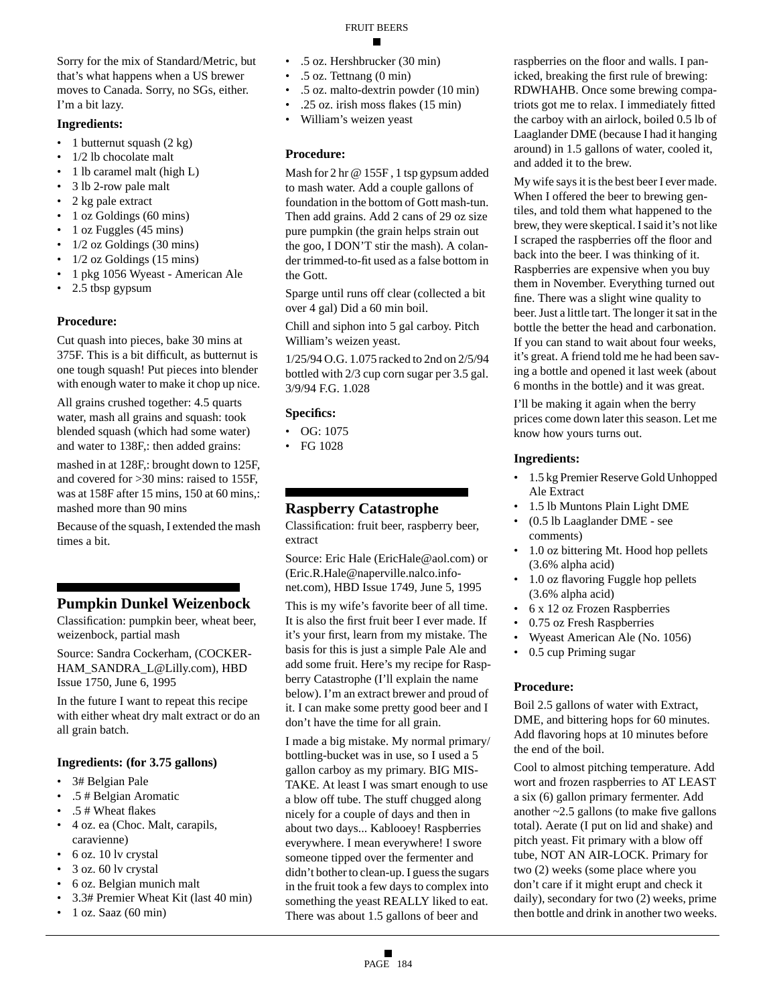Sorry for the mix of Standard/Metric, but that's what happens when a US brewer moves to Canada. Sorry, no SGs, either. I'm a bit lazy.

#### **Ingredients:**

- 1 butternut squash  $(2 \text{ kg})$
- 1/2 lb chocolate malt
- 1 lb caramel malt (high L)
- 3 lb 2-row pale malt
- 2 kg pale extract
- 1 oz Goldings (60 mins)
- 1 oz Fuggles (45 mins)
- 1/2 oz Goldings (30 mins)
- $1/2$  oz Goldings (15 mins)
- 1 pkg 1056 Wyeast American Ale
- 2.5 tbsp gypsum

#### **Procedure:**

Cut quash into pieces, bake 30 mins at 375F. This is a bit difficult, as butternut is one tough squash! Put pieces into blender with enough water to make it chop up nice.

All grains crushed together: 4.5 quarts water, mash all grains and squash: took blended squash (which had some water) and water to 138F,: then added grains:

mashed in at 128F,: brought down to 125F, and covered for >30 mins: raised to 155F, was at 158F after 15 mins, 150 at 60 mins,: mashed more than 90 mins

Because of the squash, I extended the mash times a bit.

## **Pumpkin Dunkel Weizenbock**

Classification: pumpkin beer, wheat beer, weizenbock, partial mash

Source: Sandra Cockerham, (COCKER-HAM\_SANDRA\_L@Lilly.com), HBD Issue 1750, June 6, 1995

In the future I want to repeat this recipe with either wheat dry malt extract or do an all grain batch.

#### **Ingredients: (for 3.75 gallons)**

- 3# Belgian Pale
- .5 # Belgian Aromatic
- .5 # Wheat flakes
- 4 oz. ea (Choc. Malt, carapils, caravienne)
- 6 oz. 10 lv crystal
- 3 oz. 60 lv crystal
- 6 oz. Belgian munich malt
- 3.3# Premier Wheat Kit (last 40 min)
- 1 oz. Saaz (60 min)

## FRUIT BEERS

- .5 oz. Hershbrucker (30 min)
- .5 oz. Tettnang (0 min)
- .5 oz. malto-dextrin powder (10 min)
- .25 oz. irish moss flakes (15 min)
- William's weizen yeast

#### **Procedure:**

Mash for 2 hr @ 155F , 1 tsp gypsum added to mash water. Add a couple gallons of foundation in the bottom of Gott mash-tun. Then add grains. Add 2 cans of 29 oz size pure pumpkin (the grain helps strain out the goo, I DON'T stir the mash). A colander trimmed-to-fit used as a false bottom in the Gott.

Sparge until runs off clear (collected a bit over 4 gal) Did a 60 min boil.

Chill and siphon into 5 gal carboy. Pitch William's weizen yeast.

1/25/94 O.G. 1.075 racked to 2nd on 2/5/94 bottled with 2/3 cup corn sugar per 3.5 gal. 3/9/94 F.G. 1.028

#### **Specifics:**

- OG: 1075
- FG 1028

## **Raspberry Catastrophe**

Classification: fruit beer, raspberry beer, extract

Source: Eric Hale (EricHale@aol.com) or (Eric.R.Hale@naperville.nalco.infonet.com), HBD Issue 1749, June 5, 1995

This is my wife's favorite beer of all time. It is also the first fruit beer I ever made. If it's your first, learn from my mistake. The basis for this is just a simple Pale Ale and add some fruit. Here's my recipe for Raspberry Catastrophe (I'll explain the name below). I'm an extract brewer and proud of it. I can make some pretty good beer and I don't have the time for all grain.

I made a big mistake. My normal primary/ bottling-bucket was in use, so I used a 5 gallon carboy as my primary. BIG MIS-TAKE. At least I was smart enough to use a blow off tube. The stuff chugged along nicely for a couple of days and then in about two days... Kablooey! Raspberries everywhere. I mean everywhere! I swore someone tipped over the fermenter and didn't bother to clean-up. I guess the sugars in the fruit took a few days to complex into something the yeast REALLY liked to eat. There was about 1.5 gallons of beer and

raspberries on the floor and walls. I panicked, breaking the first rule of brewing: RDWHAHB. Once some brewing compatriots got me to relax. I immediately fitted the carboy with an airlock, boiled 0.5 lb of Laaglander DME (because I had it hanging around) in 1.5 gallons of water, cooled it, and added it to the brew.

My wife says it is the best beer I ever made. When I offered the beer to brewing gentiles, and told them what happened to the brew, they were skeptical. I said it's not like I scraped the raspberries off the floor and back into the beer. I was thinking of it. Raspberries are expensive when you buy them in November. Everything turned out fine. There was a slight wine quality to beer. Just a little tart. The longer it sat in the bottle the better the head and carbonation. If you can stand to wait about four weeks, it's great. A friend told me he had been saving a bottle and opened it last week (about 6 months in the bottle) and it was great.

I'll be making it again when the berry prices come down later this season. Let me know how yours turns out.

#### **Ingredients:**

- 1.5 kg Premier Reserve Gold Unhopped Ale Extract
- 1.5 lb Muntons Plain Light DME
- (0.5 lb Laaglander DME see comments)
- 1.0 oz bittering Mt. Hood hop pellets (3.6% alpha acid)
- 1.0 oz flavoring Fuggle hop pellets (3.6% alpha acid)
- 6 x 12 oz Frozen Raspberries
- 0.75 oz Fresh Raspberries
- Wyeast American Ale (No. 1056)
- 0.5 cup Priming sugar

#### **Procedure:**

Boil 2.5 gallons of water with Extract, DME, and bittering hops for 60 minutes. Add flavoring hops at 10 minutes before the end of the boil.

Cool to almost pitching temperature. Add wort and frozen raspberries to AT LEAST a six (6) gallon primary fermenter. Add another ~2.5 gallons (to make five gallons total). Aerate (I put on lid and shake) and pitch yeast. Fit primary with a blow off tube, NOT AN AIR-LOCK. Primary for two (2) weeks (some place where you don't care if it might erupt and check it daily), secondary for two (2) weeks, prime then bottle and drink in another two weeks.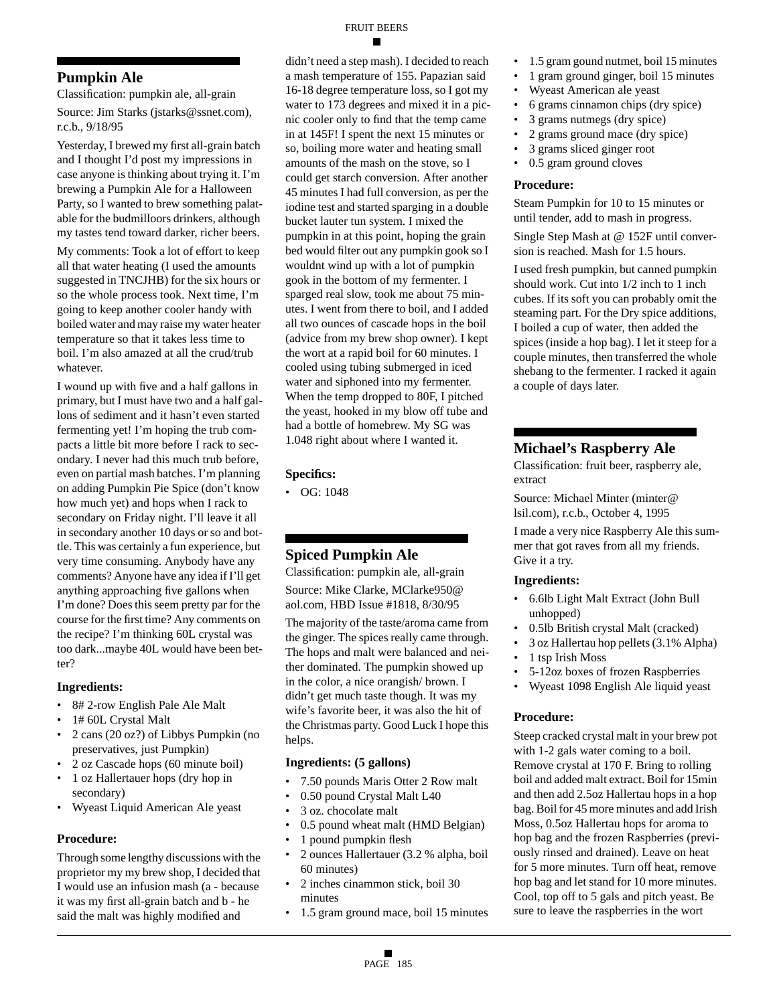## **Pumpkin Ale**

Classification: pumpkin ale, all-grain Source: Jim Starks (jstarks@ssnet.com), r.c.b., 9/18/95

Yesterday, I brewed my first all-grain batch and I thought I'd post my impressions in case anyone is thinking about trying it. I'm brewing a Pumpkin Ale for a Halloween Party, so I wanted to brew something palatable for the budmilloors drinkers, although my tastes tend toward darker, richer beers.

My comments: Took a lot of effort to keep all that water heating (I used the amounts suggested in TNCJHB) for the six hours or so the whole process took. Next time, I'm going to keep another cooler handy with boiled water and may raise my water heater temperature so that it takes less time to boil. I'm also amazed at all the crud/trub whatever.

I wound up with five and a half gallons in primary, but I must have two and a half gallons of sediment and it hasn't even started fermenting yet! I'm hoping the trub compacts a little bit more before I rack to secondary. I never had this much trub before, even on partial mash batches. I'm planning on adding Pumpkin Pie Spice (don't know how much yet) and hops when I rack to secondary on Friday night. I'll leave it all in secondary another 10 days or so and bottle. This was certainly a fun experience, but very time consuming. Anybody have any comments? Anyone have any idea if I'll get anything approaching five gallons when I'm done? Does this seem pretty par for the course for the first time? Any comments on the recipe? I'm thinking 60L crystal was too dark...maybe 40L would have been better?

#### **Ingredients:**

- 8# 2-row English Pale Ale Malt
- 1# 60L Crystal Malt
- 2 cans (20 oz?) of Libbys Pumpkin (no preservatives, just Pumpkin)
- 2 oz Cascade hops (60 minute boil)
- 1 oz Hallertauer hops (dry hop in secondary)
- Wyeast Liquid American Ale yeast

#### **Procedure:**

Through some lengthy discussions with the proprietor my my brew shop, I decided that I would use an infusion mash (a - because it was my first all-grain batch and b - he said the malt was highly modified and

didn't need a step mash). I decided to reach a mash temperature of 155. Papazian said 16-18 degree temperature loss, so I got my water to 173 degrees and mixed it in a picnic cooler only to find that the temp came in at 145F! I spent the next 15 minutes or so, boiling more water and heating small amounts of the mash on the stove, so I could get starch conversion. After another 45 minutes I had full conversion, as per the iodine test and started sparging in a double bucket lauter tun system. I mixed the pumpkin in at this point, hoping the grain bed would filter out any pumpkin gook so I wouldnt wind up with a lot of pumpkin gook in the bottom of my fermenter. I sparged real slow, took me about 75 minutes. I went from there to boil, and I added all two ounces of cascade hops in the boil (advice from my brew shop owner). I kept the wort at a rapid boil for 60 minutes. I cooled using tubing submerged in iced water and siphoned into my fermenter. When the temp dropped to 80F, I pitched the yeast, hooked in my blow off tube and had a bottle of homebrew. My SG was 1.048 right about where I wanted it.

#### **Specifics:**

• OG: 1048

## **Spiced Pumpkin Ale**

Classification: pumpkin ale, all-grain Source: Mike Clarke, MClarke950@ aol.com, HBD Issue #1818, 8/30/95

The majority of the taste/aroma came from the ginger. The spices really came through. The hops and malt were balanced and neither dominated. The pumpkin showed up in the color, a nice orangish/ brown. I didn't get much taste though. It was my wife's favorite beer, it was also the hit of the Christmas party. Good Luck I hope this helps.

## **Ingredients: (5 gallons)**

- 7.50 pounds Maris Otter 2 Row malt
- 0.50 pound Crystal Malt L40
- 3 oz. chocolate malt
- 0.5 pound wheat malt (HMD Belgian)
- 1 pound pumpkin flesh
- 2 ounces Hallertauer (3.2 % alpha, boil 60 minutes)
- 2 inches cinammon stick, boil 30 minutes
- 1.5 gram ground mace, boil 15 minutes
- 1.5 gram gound nutmet, boil 15 minutes
- 1 gram ground ginger, boil 15 minutes
- Wyeast American ale yeast
- 6 grams cinnamon chips (dry spice)
- 3 grams nutmegs (dry spice)
- 2 grams ground mace (dry spice)
- 3 grams sliced ginger root
- 0.5 gram ground cloves

#### **Procedure:**

Steam Pumpkin for 10 to 15 minutes or until tender, add to mash in progress.

Single Step Mash at @ 152F until conversion is reached. Mash for 1.5 hours.

I used fresh pumpkin, but canned pumpkin should work. Cut into 1/2 inch to 1 inch cubes. If its soft you can probably omit the steaming part. For the Dry spice additions, I boiled a cup of water, then added the spices (inside a hop bag). I let it steep for a couple minutes, then transferred the whole shebang to the fermenter. I racked it again a couple of days later.

## **Michael's Raspberry Ale**

Classification: fruit beer, raspberry ale, extract

Source: Michael Minter (minter@ lsil.com), r.c.b., October 4, 1995

I made a very nice Raspberry Ale this summer that got raves from all my friends. Give it a try.

#### **Ingredients:**

- 6.6lb Light Malt Extract (John Bull unhopped)
- 0.5lb British crystal Malt (cracked)
- 3 oz Hallertau hop pellets (3.1% Alpha)
- 1 tsp Irish Moss
- 5-12oz boxes of frozen Raspberries
- Wyeast 1098 English Ale liquid yeast

#### **Procedure:**

Steep cracked crystal malt in your brew pot with 1-2 gals water coming to a boil. Remove crystal at 170 F. Bring to rolling boil and added malt extract. Boil for 15min and then add 2.5oz Hallertau hops in a hop bag. Boil for 45 more minutes and add Irish Moss, 0.5oz Hallertau hops for aroma to hop bag and the frozen Raspberries (previously rinsed and drained). Leave on heat for 5 more minutes. Turn off heat, remove hop bag and let stand for 10 more minutes. Cool, top off to 5 gals and pitch yeast. Be sure to leave the raspberries in the wort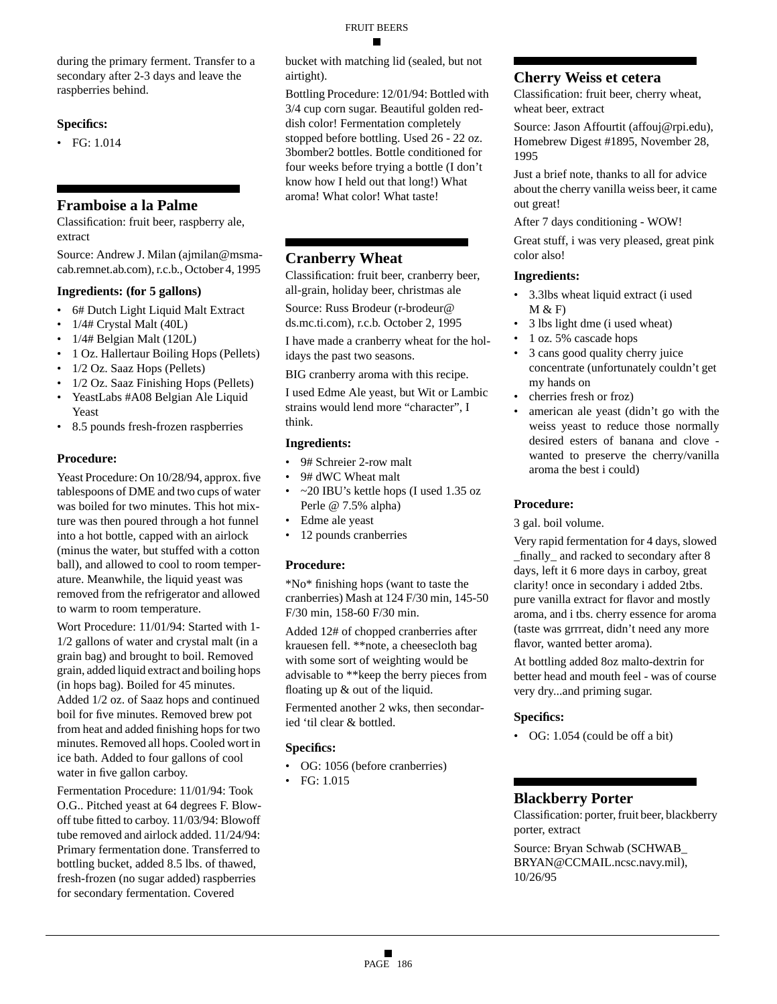during the primary ferment. Transfer to a secondary after 2-3 days and leave the raspberries behind.

#### **Specifics:**

• FG: 1.014

#### **Framboise a la Palme**

Classification: fruit beer, raspberry ale, extract

Source: Andrew J. Milan (ajmilan@msmacab.remnet.ab.com), r.c.b., October 4, 1995

#### **Ingredients: (for 5 gallons)**

- 6# Dutch Light Liquid Malt Extract
- 1/4# Crystal Malt (40L)
- 1/4# Belgian Malt (120L)
- 1 Oz. Hallertaur Boiling Hops (Pellets)
- 1/2 Oz. Saaz Hops (Pellets)
- 1/2 Oz. Saaz Finishing Hops (Pellets)
- YeastLabs #A08 Belgian Ale Liquid Yeast
- 8.5 pounds fresh-frozen raspberries

#### **Procedure:**

Yeast Procedure: On 10/28/94, approx. five tablespoons of DME and two cups of water was boiled for two minutes. This hot mixture was then poured through a hot funnel into a hot bottle, capped with an airlock (minus the water, but stuffed with a cotton ball), and allowed to cool to room temperature. Meanwhile, the liquid yeast was removed from the refrigerator and allowed to warm to room temperature.

Wort Procedure: 11/01/94: Started with 1- 1/2 gallons of water and crystal malt (in a grain bag) and brought to boil. Removed grain, added liquid extract and boiling hops (in hops bag). Boiled for 45 minutes. Added 1/2 oz. of Saaz hops and continued boil for five minutes. Removed brew pot from heat and added finishing hops for two minutes. Removed all hops. Cooled wort in ice bath. Added to four gallons of cool water in five gallon carboy.

Fermentation Procedure: 11/01/94: Took O.G.. Pitched yeast at 64 degrees F. Blowoff tube fitted to carboy. 11/03/94: Blowoff tube removed and airlock added. 11/24/94: Primary fermentation done. Transferred to bottling bucket, added 8.5 lbs. of thawed, fresh-frozen (no sugar added) raspberries for secondary fermentation. Covered

bucket with matching lid (sealed, but not airtight).

Bottling Procedure: 12/01/94: Bottled with 3/4 cup corn sugar. Beautiful golden reddish color! Fermentation completely stopped before bottling. Used 26 - 22 oz. 3bomber2 bottles. Bottle conditioned for four weeks before trying a bottle (I don't know how I held out that long!) What aroma! What color! What taste!

## **Cranberry Wheat**

Classification: fruit beer, cranberry beer, all-grain, holiday beer, christmas ale

Source: Russ Brodeur (r-brodeur@

ds.mc.ti.com), r.c.b. October 2, 1995

I have made a cranberry wheat for the holidays the past two seasons.

BIG cranberry aroma with this recipe.

I used Edme Ale yeast, but Wit or Lambic strains would lend more "character", I think.

#### **Ingredients:**

- 9# Schreier 2-row malt
- 9# dWC Wheat malt
- ~20 IBU's kettle hops (I used 1.35 oz Perle @ 7.5% alpha)
- Edme ale yeast
- 12 pounds cranberries

#### **Procedure:**

\*No\* finishing hops (want to taste the cranberries) Mash at 124 F/30 min, 145-50 F/30 min, 158-60 F/30 min.

Added 12# of chopped cranberries after krauesen fell. \*\*note, a cheesecloth bag with some sort of weighting would be advisable to \*\*keep the berry pieces from floating up & out of the liquid.

Fermented another 2 wks, then secondaried 'til clear & bottled.

#### **Specifics:**

- OG: 1056 (before cranberries)
- FG: 1.015

## **Cherry Weiss et cetera**

Classification: fruit beer, cherry wheat, wheat beer, extract

Source: Jason Affourtit (affouj@rpi.edu), Homebrew Digest #1895, November 28, 1995

Just a brief note, thanks to all for advice about the cherry vanilla weiss beer, it came out great!

After 7 days conditioning - WOW!

Great stuff, i was very pleased, great pink color also!

#### **Ingredients:**

- 3.3lbs wheat liquid extract (i used  $M & F$
- 3 lbs light dme (i used wheat)
- 1 oz. 5% cascade hops
- 3 cans good quality cherry juice concentrate (unfortunately couldn't get my hands on
- cherries fresh or froz)
- american ale yeast (didn't go with the weiss yeast to reduce those normally desired esters of banana and clove wanted to preserve the cherry/vanilla aroma the best i could)

#### **Procedure:**

3 gal. boil volume.

Very rapid fermentation for 4 days, slowed \_finally\_ and racked to secondary after 8 days, left it 6 more days in carboy, great clarity! once in secondary i added 2tbs. pure vanilla extract for flavor and mostly aroma, and i tbs. cherry essence for aroma (taste was grrrreat, didn't need any more flavor, wanted better aroma).

At bottling added 8oz malto-dextrin for better head and mouth feel - was of course very dry...and priming sugar.

#### **Specifics:**

• OG: 1.054 (could be off a bit)

#### **Blackberry Porter**

Classification: porter, fruit beer, blackberry porter, extract

Source: Bryan Schwab (SCHWAB\_ BRYAN@CCMAIL.ncsc.navy.mil), 10/26/95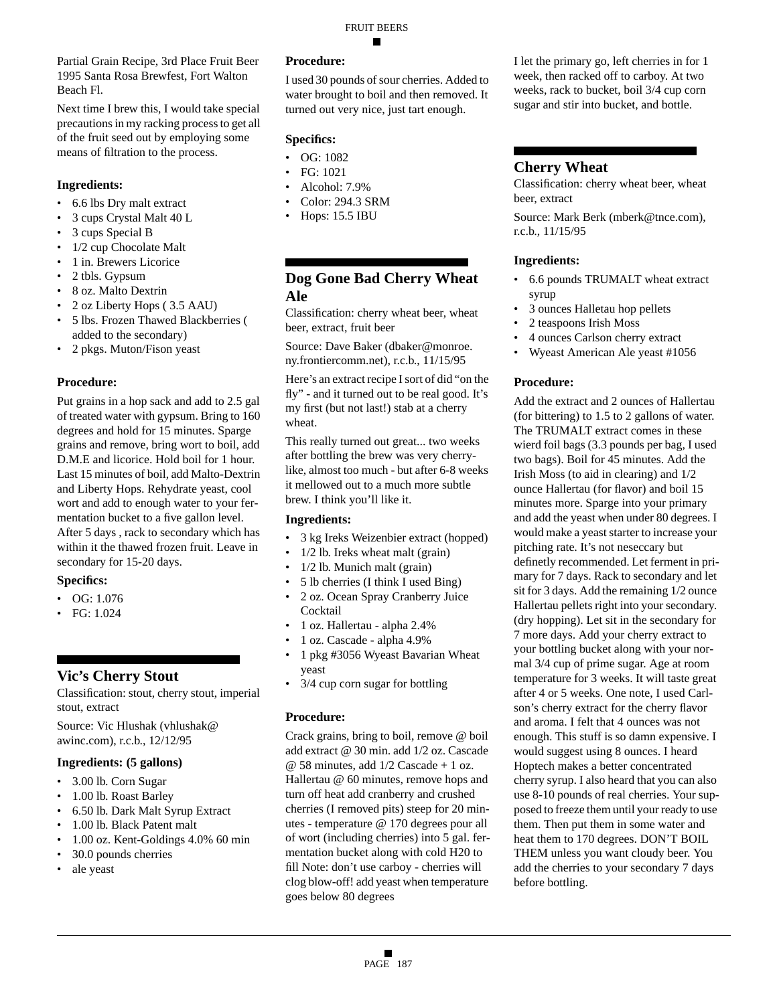Partial Grain Recipe, 3rd Place Fruit Beer 1995 Santa Rosa Brewfest, Fort Walton Beach Fl.

Next time I brew this, I would take special precautions in my racking process to get all of the fruit seed out by employing some means of filtration to the process.

#### **Ingredients:**

- 6.6 lbs Dry malt extract
- 3 cups Crystal Malt 40 L
- 3 cups Special B
- 1/2 cup Chocolate Malt
- 1 in. Brewers Licorice
- 2 tbls. Gypsum
- 8 oz. Malto Dextrin
- 2 oz Liberty Hops ( 3.5 AAU)
- 5 lbs. Frozen Thawed Blackberries ( added to the secondary)
- 2 pkgs. Muton/Fison yeast

#### **Procedure:**

Put grains in a hop sack and add to 2.5 gal of treated water with gypsum. Bring to 160 degrees and hold for 15 minutes. Sparge grains and remove, bring wort to boil, add D.M.E and licorice. Hold boil for 1 hour. Last 15 minutes of boil, add Malto-Dextrin and Liberty Hops. Rehydrate yeast, cool wort and add to enough water to your fermentation bucket to a five gallon level. After 5 days , rack to secondary which has within it the thawed frozen fruit. Leave in secondary for 15-20 days.

#### **Specifics:**

- OG: 1.076
- FG: 1.024

## **Vic's Cherry Stout**

Classification: stout, cherry stout, imperial stout, extract

Source: Vic Hlushak (vhlushak@ awinc.com), r.c.b., 12/12/95

#### **Ingredients: (5 gallons)**

- 3.00 lb. Corn Sugar
- 1.00 lb. Roast Barley
- 6.50 lb. Dark Malt Syrup Extract
- 1.00 lb. Black Patent malt
- 1.00 oz. Kent-Goldings 4.0% 60 min
- 30.0 pounds cherries
- ale yeast

#### **Procedure:**

I used 30 pounds of sour cherries. Added to water brought to boil and then removed. It turned out very nice, just tart enough.

## **Specifics:**

- OG: 1082
- FG: 1021
- Alcohol: 7.9%
- Color: 294.3 SRM
- Hops: 15.5 IBU

## **Dog Gone Bad Cherry Wheat Ale**

Classification: cherry wheat beer, wheat beer, extract, fruit beer

Source: Dave Baker (dbaker@monroe. ny.frontiercomm.net), r.c.b., 11/15/95

Here's an extract recipe I sort of did "on the fly" - and it turned out to be real good. It's my first (but not last!) stab at a cherry wheat.

This really turned out great... two weeks after bottling the brew was very cherrylike, almost too much - but after 6-8 weeks it mellowed out to a much more subtle brew. I think you'll like it.

#### **Ingredients:**

- 3 kg Ireks Weizenbier extract (hopped)
- 1/2 lb. Ireks wheat malt (grain)
- 1/2 lb. Munich malt (grain)
- 5 lb cherries (I think I used Bing)
- 2 oz. Ocean Spray Cranberry Juice **Cocktail**
- 1 oz. Hallertau alpha 2.4%
- 1 oz. Cascade alpha 4.9%
- 1 pkg #3056 Wyeast Bavarian Wheat yeast
- 3/4 cup corn sugar for bottling

#### **Procedure:**

Crack grains, bring to boil, remove @ boil add extract @ 30 min. add 1/2 oz. Cascade @ 58 minutes, add 1/2 Cascade + 1 oz. Hallertau @ 60 minutes, remove hops and turn off heat add cranberry and crushed cherries (I removed pits) steep for 20 minutes - temperature @ 170 degrees pour all of wort (including cherries) into 5 gal. fermentation bucket along with cold H20 to fill Note: don't use carboy - cherries will clog blow-off! add yeast when temperature goes below 80 degrees

I let the primary go, left cherries in for 1 week, then racked off to carboy. At two weeks, rack to bucket, boil 3/4 cup corn sugar and stir into bucket, and bottle.

## **Cherry Wheat**

Classification: cherry wheat beer, wheat beer, extract

Source: Mark Berk (mberk@tnce.com), r.c.b., 11/15/95

#### **Ingredients:**

- 6.6 pounds TRUMALT wheat extract syrup
- 3 ounces Halletau hop pellets
- 2 teaspoons Irish Moss
- 4 ounces Carlson cherry extract
- Wyeast American Ale yeast #1056

#### **Procedure:**

Add the extract and 2 ounces of Hallertau (for bittering) to 1.5 to 2 gallons of water. The TRUMALT extract comes in these wierd foil bags (3.3 pounds per bag, I used two bags). Boil for 45 minutes. Add the Irish Moss (to aid in clearing) and 1/2 ounce Hallertau (for flavor) and boil 15 minutes more. Sparge into your primary and add the yeast when under 80 degrees. I would make a yeast starter to increase your pitching rate. It's not neseccary but definetly recommended. Let ferment in primary for 7 days. Rack to secondary and let sit for 3 days. Add the remaining 1/2 ounce Hallertau pellets right into your secondary. (dry hopping). Let sit in the secondary for 7 more days. Add your cherry extract to your bottling bucket along with your normal 3/4 cup of prime sugar. Age at room temperature for 3 weeks. It will taste great after 4 or 5 weeks. One note, I used Carlson's cherry extract for the cherry flavor and aroma. I felt that 4 ounces was not enough. This stuff is so damn expensive. I would suggest using 8 ounces. I heard Hoptech makes a better concentrated cherry syrup. I also heard that you can also use 8-10 pounds of real cherries. Your supposed to freeze them until your ready to use them. Then put them in some water and heat them to 170 degrees. DON'T BOIL THEM unless you want cloudy beer. You add the cherries to your secondary 7 days before bottling.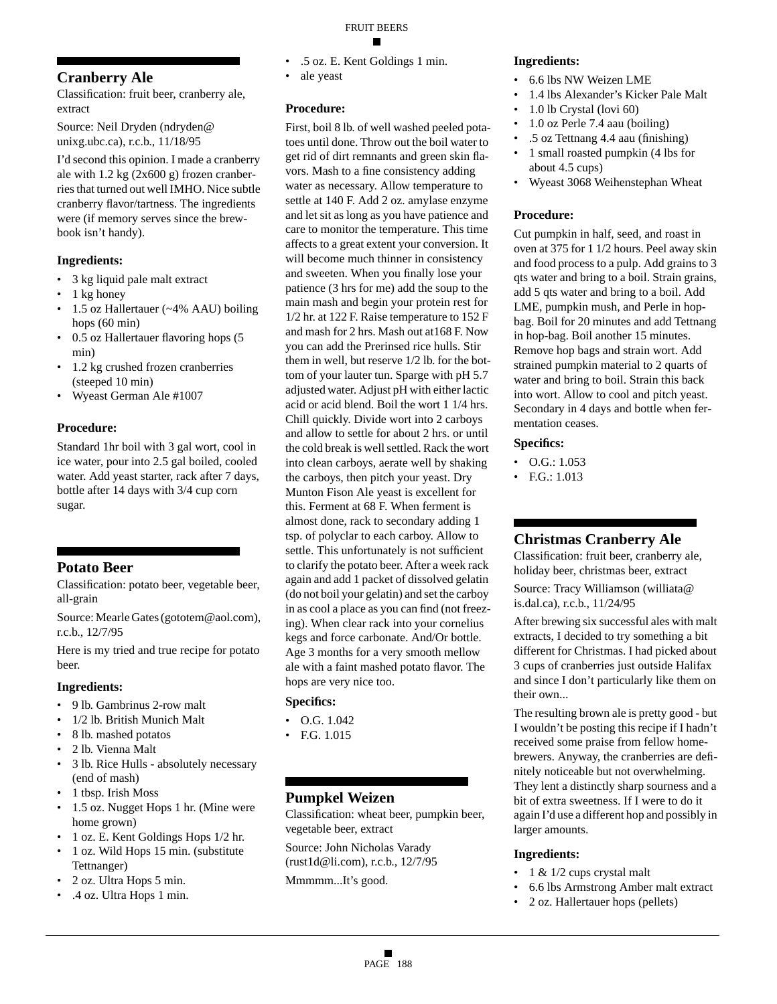**Cranberry Ale**

Classification: fruit beer, cranberry ale, extract

Source: Neil Dryden (ndryden@ unixg.ubc.ca), r.c.b., 11/18/95

I'd second this opinion. I made a cranberry ale with  $1.2 \text{ kg}$  (2x600 g) frozen cranberries that turned out well IMHO. Nice subtle cranberry flavor/tartness. The ingredients were (if memory serves since the brewbook isn't handy).

## **Ingredients:**

- 3 kg liquid pale malt extract
- 1 kg honey
- 1.5 oz Hallertauer (~4% AAU) boiling hops (60 min)
- 0.5 oz Hallertauer flavoring hops (5 min)
- 1.2 kg crushed frozen cranberries (steeped 10 min)
- Wyeast German Ale #1007

## **Procedure:**

Standard 1hr boil with 3 gal wort, cool in ice water, pour into 2.5 gal boiled, cooled water. Add yeast starter, rack after 7 days, bottle after 14 days with 3/4 cup corn sugar.

## **Potato Beer**

Classification: potato beer, vegetable beer, all-grain

Source: Mearle Gates (gototem@aol.com), r.c.b., 12/7/95

Here is my tried and true recipe for potato beer.

## **Ingredients:**

- 9 lb. Gambrinus 2-row malt
- 1/2 lb. British Munich Malt
- 8 lb. mashed potatos
- 2 lb. Vienna Malt
- 3 lb. Rice Hulls absolutely necessary (end of mash)
- 1 tbsp. Irish Moss
- 1.5 oz. Nugget Hops 1 hr. (Mine were home grown)
- 1 oz. E. Kent Goldings Hops 1/2 hr.
- 1 oz. Wild Hops 15 min. (substitute Tettnanger)
- 2 oz. Ultra Hops 5 min.
- .4 oz. Ultra Hops 1 min.
- .5 oz. E. Kent Goldings 1 min.
- ale yeast

## **Procedure:**

First, boil 8 lb. of well washed peeled potatoes until done. Throw out the boil water to get rid of dirt remnants and green skin flavors. Mash to a fine consistency adding water as necessary. Allow temperature to settle at 140 F. Add 2 oz. amylase enzyme and let sit as long as you have patience and care to monitor the temperature. This time affects to a great extent your conversion. It will become much thinner in consistency and sweeten. When you finally lose your patience (3 hrs for me) add the soup to the main mash and begin your protein rest for 1/2 hr. at 122 F. Raise temperature to 152 F and mash for 2 hrs. Mash out at168 F. Now you can add the Prerinsed rice hulls. Stir them in well, but reserve 1/2 lb. for the bottom of your lauter tun. Sparge with pH 5.7 adjusted water. Adjust pH with either lactic acid or acid blend. Boil the wort 1 1/4 hrs. Chill quickly. Divide wort into 2 carboys and allow to settle for about 2 hrs. or until the cold break is well settled. Rack the wort into clean carboys, aerate well by shaking the carboys, then pitch your yeast. Dry Munton Fison Ale yeast is excellent for this. Ferment at 68 F. When ferment is almost done, rack to secondary adding 1 tsp. of polyclar to each carboy. Allow to settle. This unfortunately is not sufficient to clarify the potato beer. After a week rack again and add 1 packet of dissolved gelatin (do not boil your gelatin) and set the carboy in as cool a place as you can find (not freezing). When clear rack into your cornelius kegs and force carbonate. And/Or bottle. Age 3 months for a very smooth mellow ale with a faint mashed potato flavor. The hops are very nice too.

#### **Specifics:**

- O.G. 1.042
- F.G. 1.015

## **Pumpkel Weizen**

Classification: wheat beer, pumpkin beer, vegetable beer, extract

Source: John Nicholas Varady (rust1d@li.com), r.c.b., 12/7/95 Mmmmm...It's good.

#### **Ingredients:**

- 6.6 lbs NW Weizen LME
- 1.4 lbs Alexander's Kicker Pale Malt
- 1.0 lb Crystal (lovi 60)
- 1.0 oz Perle 7.4 aau (boiling)
- .5 oz Tettnang 4.4 aau (finishing)
- 1 small roasted pumpkin (4 lbs for about 4.5 cups)
- Wyeast 3068 Weihenstephan Wheat

## **Procedure:**

Cut pumpkin in half, seed, and roast in oven at 375 for 1 1/2 hours. Peel away skin and food process to a pulp. Add grains to 3 qts water and bring to a boil. Strain grains, add 5 qts water and bring to a boil. Add LME, pumpkin mush, and Perle in hopbag. Boil for 20 minutes and add Tettnang in hop-bag. Boil another 15 minutes. Remove hop bags and strain wort. Add strained pumpkin material to 2 quarts of water and bring to boil. Strain this back into wort. Allow to cool and pitch yeast. Secondary in 4 days and bottle when fermentation ceases.

#### **Specifics:**

- O.G.: 1.053
- F.G.: 1.013

## **Christmas Cranberry Ale**

Classification: fruit beer, cranberry ale, holiday beer, christmas beer, extract

Source: Tracy Williamson (williata@ is.dal.ca), r.c.b., 11/24/95

After brewing six successful ales with malt extracts, I decided to try something a bit different for Christmas. I had picked about 3 cups of cranberries just outside Halifax and since I don't particularly like them on their own...

The resulting brown ale is pretty good - but I wouldn't be posting this recipe if I hadn't received some praise from fellow homebrewers. Anyway, the cranberries are definitely noticeable but not overwhelming. They lent a distinctly sharp sourness and a bit of extra sweetness. If I were to do it again I'd use a different hop and possibly in larger amounts.

- 1 & 1/2 cups crystal malt
- 6.6 lbs Armstrong Amber malt extract
- 2 oz. Hallertauer hops (pellets)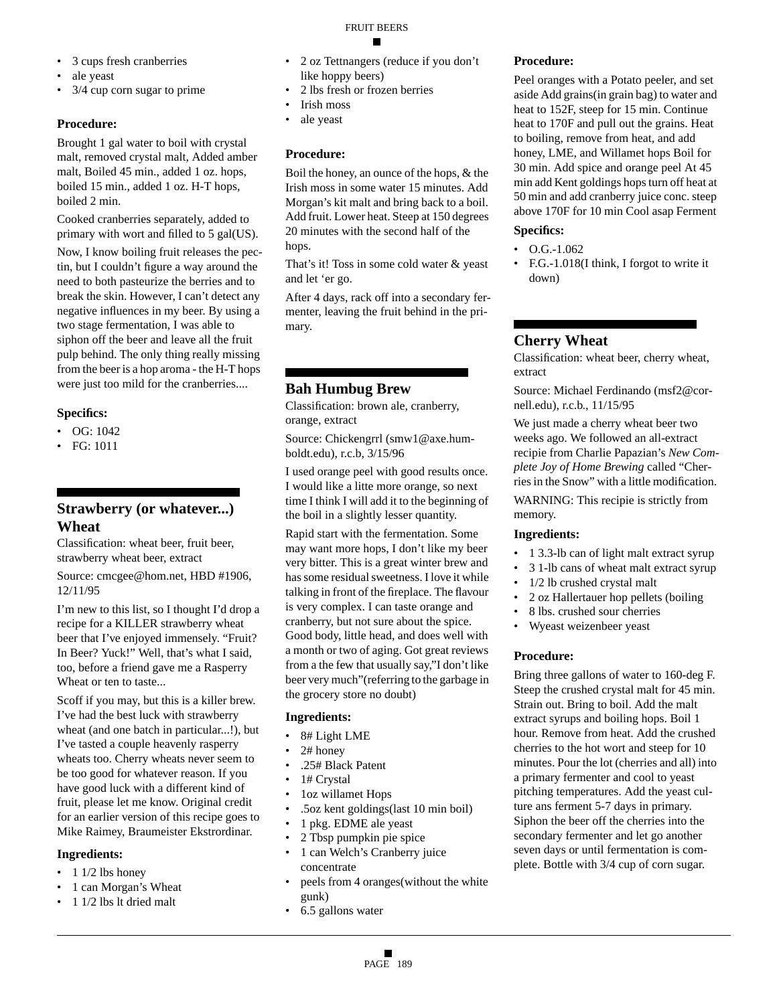- 3 cups fresh cranberries
- ale yeast
- 3/4 cup corn sugar to prime

## **Procedure:**

Brought 1 gal water to boil with crystal malt, removed crystal malt, Added amber malt, Boiled 45 min., added 1 oz. hops, boiled 15 min., added 1 oz. H-T hops, boiled 2 min.

Cooked cranberries separately, added to primary with wort and filled to 5 gal(US).

Now, I know boiling fruit releases the pectin, but I couldn't figure a way around the need to both pasteurize the berries and to break the skin. However, I can't detect any negative influences in my beer. By using a two stage fermentation, I was able to siphon off the beer and leave all the fruit pulp behind. The only thing really missing from the beer is a hop aroma - the H-T hops were just too mild for the cranberries....

## **Specifics:**

- OG: 1042
- FG: 1011

## **Strawberry (or whatever...) Wheat**

Classification: wheat beer, fruit beer, strawberry wheat beer, extract

Source: cmcgee@hom.net, HBD #1906, 12/11/95

I'm new to this list, so I thought I'd drop a recipe for a KILLER strawberry wheat beer that I've enjoyed immensely. "Fruit? In Beer? Yuck!" Well, that's what I said, too, before a friend gave me a Rasperry Wheat or ten to taste...

Scoff if you may, but this is a killer brew. I've had the best luck with strawberry wheat (and one batch in particular...!), but I've tasted a couple heavenly rasperry wheats too. Cherry wheats never seem to be too good for whatever reason. If you have good luck with a different kind of fruit, please let me know. Original credit for an earlier version of this recipe goes to Mike Raimey, Braumeister Ekstrordinar.

## **Ingredients:**

- $\cdot$  1 1/2 lbs honey
- 1 can Morgan's Wheat
- 1 1/2 lbs lt dried malt

## FRUIT BEERS

- 2 oz Tettnangers (reduce if you don't like hoppy beers)
- 2 lbs fresh or frozen berries
- Irish moss
- ale yeast

## **Procedure:**

Boil the honey, an ounce of the hops, & the Irish moss in some water 15 minutes. Add Morgan's kit malt and bring back to a boil. Add fruit. Lower heat. Steep at 150 degrees 20 minutes with the second half of the hops.

That's it! Toss in some cold water & yeast and let 'er go.

After 4 days, rack off into a secondary fermenter, leaving the fruit behind in the primary.

## **Bah Humbug Brew**

Classification: brown ale, cranberry, orange, extract

Source: Chickengrrl (smw1@axe.humboldt.edu), r.c.b, 3/15/96

I used orange peel with good results once. I would like a litte more orange, so next time I think I will add it to the beginning of the boil in a slightly lesser quantity.

Rapid start with the fermentation. Some may want more hops, I don't like my beer very bitter. This is a great winter brew and has some residual sweetness. I love it while talking in front of the fireplace. The flavour is very complex. I can taste orange and cranberry, but not sure about the spice. Good body, little head, and does well with a month or two of aging. Got great reviews from a the few that usually say,"I don't like beer very much"(referring to the garbage in the grocery store no doubt)

## **Ingredients:**

- 8# Light LME
- 2# honey
- .25# Black Patent
- 1# Crystal
- 1oz willamet Hops
- .5oz kent goldings(last 10 min boil)
- 1 pkg. EDME ale yeast
- 2 Tbsp pumpkin pie spice
- 1 can Welch's Cranberry juice concentrate
- peels from 4 oranges(without the white gunk)
- 6.5 gallons water

## **Procedure:**

Peel oranges with a Potato peeler, and set aside Add grains(in grain bag) to water and heat to 152F, steep for 15 min. Continue heat to 170F and pull out the grains. Heat to boiling, remove from heat, and add honey, LME, and Willamet hops Boil for 30 min. Add spice and orange peel At 45 min add Kent goldings hops turn off heat at 50 min and add cranberry juice conc. steep above 170F for 10 min Cool asap Ferment

## **Specifics:**

- $\bullet$  O.G.-1.062
- F.G.-1.018(I think, I forgot to write it down)

## **Cherry Wheat**

Classification: wheat beer, cherry wheat, extract

Source: Michael Ferdinando (msf2@cornell.edu), r.c.b., 11/15/95

We just made a cherry wheat beer two weeks ago. We followed an all-extract recipie from Charlie Papazian's *New Complete Joy of Home Brewing* called "Cherries in the Snow" with a little modification.

WARNING: This recipie is strictly from memory.

## **Ingredients:**

- 1 3.3-lb can of light malt extract syrup
- 3 1-lb cans of wheat malt extract syrup
- 1/2 lb crushed crystal malt
- 2 oz Hallertauer hop pellets (boiling
- 8 lbs. crushed sour cherries
- Wyeast weizenbeer yeast

## **Procedure:**

Bring three gallons of water to 160-deg F. Steep the crushed crystal malt for 45 min. Strain out. Bring to boil. Add the malt extract syrups and boiling hops. Boil 1 hour. Remove from heat. Add the crushed cherries to the hot wort and steep for 10 minutes. Pour the lot (cherries and all) into a primary fermenter and cool to yeast pitching temperatures. Add the yeast culture ans ferment 5-7 days in primary. Siphon the beer off the cherries into the secondary fermenter and let go another seven days or until fermentation is complete. Bottle with 3/4 cup of corn sugar.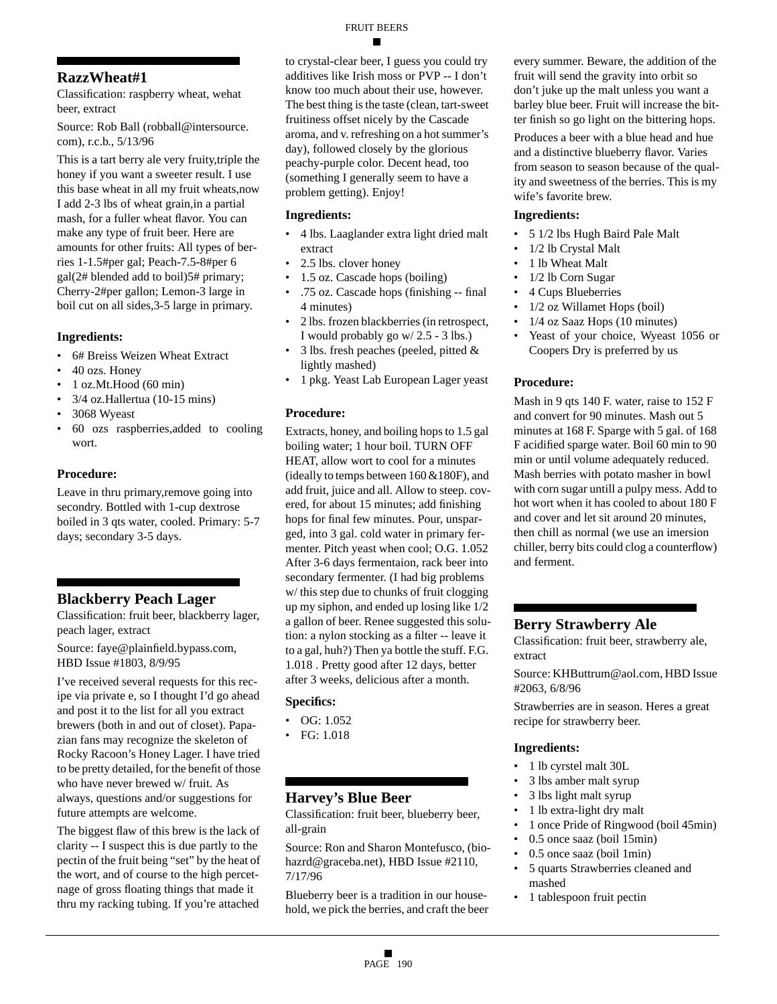## **RazzWheat#1**

Classification: raspberry wheat, wehat beer, extract

Source: Rob Ball (robball@intersource. com), r.c.b., 5/13/96

This is a tart berry ale very fruity,triple the honey if you want a sweeter result. I use this base wheat in all my fruit wheats,now I add 2-3 lbs of wheat grain,in a partial mash, for a fuller wheat flavor. You can make any type of fruit beer. Here are amounts for other fruits: All types of berries 1-1.5#per gal; Peach-7.5-8#per 6 gal(2# blended add to boil)5# primary; Cherry-2#per gallon; Lemon-3 large in boil cut on all sides,3-5 large in primary.

#### **Ingredients:**

- 6# Breiss Weizen Wheat Extract
- 40 ozs. Honey
- $\bullet$  1 oz.Mt.Hood (60 min)
- 3/4 oz.Hallertua (10-15 mins)
- 3068 Wyeast
- 60 ozs raspberries,added to cooling wort.

#### **Procedure:**

Leave in thru primary,remove going into secondry. Bottled with 1-cup dextrose boiled in 3 qts water, cooled. Primary: 5-7 days; secondary 3-5 days.

## **Blackberry Peach Lager**

Classification: fruit beer, blackberry lager, peach lager, extract

Source: faye@plainfield.bypass.com, HBD Issue #1803, 8/9/95

I've received several requests for this recipe via private e, so I thought I'd go ahead and post it to the list for all you extract brewers (both in and out of closet). Papazian fans may recognize the skeleton of Rocky Racoon's Honey Lager. I have tried to be pretty detailed, for the benefit of those who have never brewed w/ fruit. As always, questions and/or suggestions for future attempts are welcome.

The biggest flaw of this brew is the lack of clarity -- I suspect this is due partly to the pectin of the fruit being "set" by the heat of the wort, and of course to the high percetnage of gross floating things that made it thru my racking tubing. If you're attached

to crystal-clear beer, I guess you could try additives like Irish moss or PVP -- I don't know too much about their use, however. The best thing is the taste (clean, tart-sweet fruitiness offset nicely by the Cascade aroma, and v. refreshing on a hot summer's day), followed closely by the glorious peachy-purple color. Decent head, too (something I generally seem to have a problem getting). Enjoy!

#### **Ingredients:**

- 4 lbs. Laaglander extra light dried malt extract
- 2.5 lbs. clover honey
- 1.5 oz. Cascade hops (boiling)
- .75 oz. Cascade hops (finishing -- final 4 minutes)
- 2 lbs. frozen blackberries (in retrospect, I would probably go w/ 2.5 - 3 lbs.)
- 3 lbs. fresh peaches (peeled, pitted  $\&$ lightly mashed)
- 1 pkg. Yeast Lab European Lager yeast

## **Procedure:**

Extracts, honey, and boiling hops to 1.5 gal boiling water; 1 hour boil. TURN OFF HEAT, allow wort to cool for a minutes (ideally to temps between 160 &180F), and add fruit, juice and all. Allow to steep. covered, for about 15 minutes; add finishing hops for final few minutes. Pour, unsparged, into 3 gal. cold water in primary fermenter. Pitch yeast when cool; O.G. 1.052 After 3-6 days fermentaion, rack beer into secondary fermenter. (I had big problems w/ this step due to chunks of fruit clogging up my siphon, and ended up losing like 1/2 a gallon of beer. Renee suggested this solution: a nylon stocking as a filter -- leave it to a gal, huh?) Then ya bottle the stuff. F.G. 1.018 . Pretty good after 12 days, better after 3 weeks, delicious after a month.

#### **Specifics:**

- OG: 1.052
- FG: 1.018

## **Harvey's Blue Beer**

Classification: fruit beer, blueberry beer, all-grain

Source: Ron and Sharon Montefusco, (biohazrd@graceba.net), HBD Issue #2110, 7/17/96

Blueberry beer is a tradition in our household, we pick the berries, and craft the beer every summer. Beware, the addition of the fruit will send the gravity into orbit so don't juke up the malt unless you want a barley blue beer. Fruit will increase the bitter finish so go light on the bittering hops.

Produces a beer with a blue head and hue and a distinctive blueberry flavor. Varies from season to season because of the quality and sweetness of the berries. This is my wife's favorite brew.

#### **Ingredients:**

- 5 1/2 lbs Hugh Baird Pale Malt
- 1/2 lb Crystal Malt
- 1 lb Wheat Malt
- 1/2 lb Corn Sugar
- 4 Cups Blueberries
- 1/2 oz Willamet Hops (boil)
- 1/4 oz Saaz Hops (10 minutes)
- Yeast of your choice, Wyeast 1056 or Coopers Dry is preferred by us

## **Procedure:**

Mash in 9 qts 140 F. water, raise to 152 F and convert for 90 minutes. Mash out 5 minutes at 168 F. Sparge with 5 gal. of 168 F acidified sparge water. Boil 60 min to 90 min or until volume adequately reduced. Mash berries with potato masher in bowl with corn sugar untill a pulpy mess. Add to hot wort when it has cooled to about 180 F and cover and let sit around 20 minutes, then chill as normal (we use an imersion chiller, berry bits could clog a counterflow) and ferment.

## **Berry Strawberry Ale**

Classification: fruit beer, strawberry ale, extract

Source: KHButtrum@aol.com, HBD Issue #2063, 6/8/96

Strawberries are in season. Heres a great recipe for strawberry beer.

- 1 lb cyrstel malt 30L
- 3 lbs amber malt syrup
- 3 lbs light malt syrup
- 1 lb extra-light dry malt
- 1 once Pride of Ringwood (boil 45min)
- 0.5 once saaz (boil 15min)
- 0.5 once saaz (boil 1min)
- 5 quarts Strawberries cleaned and mashed
- 1 tablespoon fruit pectin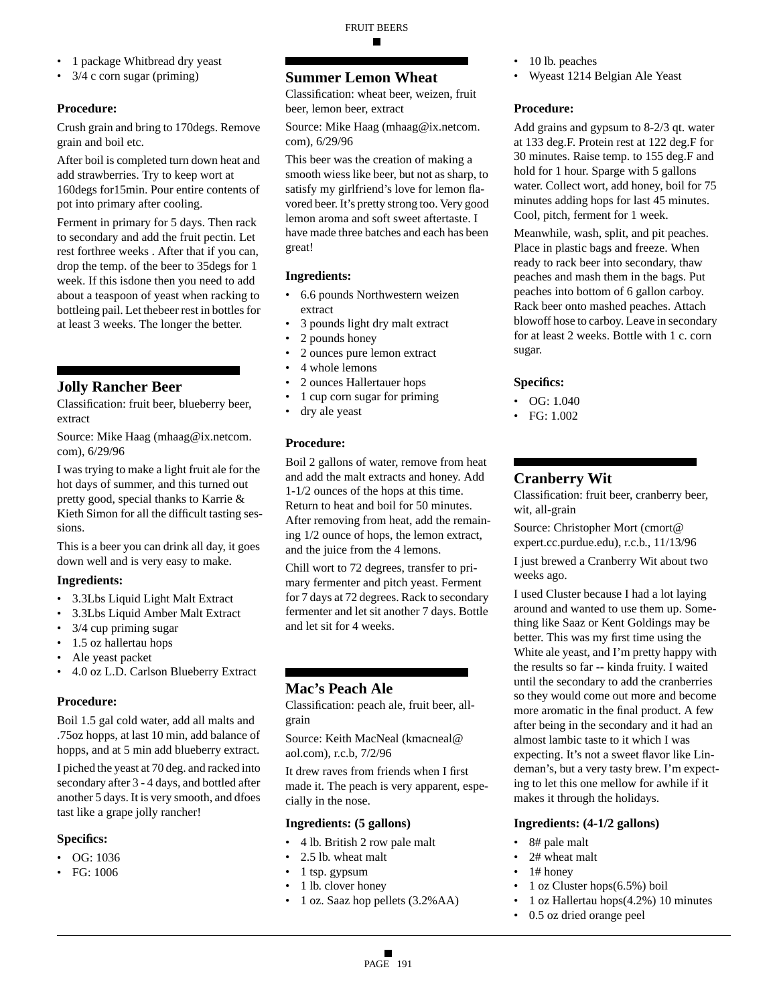- 1 package Whitbread dry yeast
- 3/4 c corn sugar (priming)

## **Procedure:**

Crush grain and bring to 170degs. Remove grain and boil etc.

After boil is completed turn down heat and add strawberries. Try to keep wort at 160degs for15min. Pour entire contents of pot into primary after cooling.

Ferment in primary for 5 days. Then rack to secondary and add the fruit pectin. Let rest forthree weeks . After that if you can, drop the temp. of the beer to 35degs for 1 week. If this isdone then you need to add about a teaspoon of yeast when racking to bottleing pail. Let thebeer rest in bottles for at least 3 weeks. The longer the better.

## **Jolly Rancher Beer**

Classification: fruit beer, blueberry beer, extract

Source: Mike Haag (mhaag@ix.netcom. com), 6/29/96

I was trying to make a light fruit ale for the hot days of summer, and this turned out pretty good, special thanks to Karrie & Kieth Simon for all the difficult tasting sessions.

This is a beer you can drink all day, it goes down well and is very easy to make.

## **Ingredients:**

- 3.3Lbs Liquid Light Malt Extract
- 3.3Lbs Liquid Amber Malt Extract
- 3/4 cup priming sugar
- 1.5 oz hallertau hops
- Ale yeast packet
- 4.0 oz L.D. Carlson Blueberry Extract

#### **Procedure:**

Boil 1.5 gal cold water, add all malts and .75oz hopps, at last 10 min, add balance of hopps, and at 5 min add blueberry extract.

I piched the yeast at 70 deg. and racked into secondary after 3 - 4 days, and bottled after another 5 days. It is very smooth, and dfoes tast like a grape jolly rancher!

#### **Specifics:**

- OG: 1036
- FG: 1006

## **Summer Lemon Wheat**

Classification: wheat beer, weizen, fruit beer, lemon beer, extract

Source: Mike Haag (mhaag@ix.netcom. com), 6/29/96

This beer was the creation of making a smooth wiess like beer, but not as sharp, to satisfy my girlfriend's love for lemon flavored beer. It's pretty strong too. Very good lemon aroma and soft sweet aftertaste. I have made three batches and each has been great!

#### **Ingredients:**

- 6.6 pounds Northwestern weizen extract
- 3 pounds light dry malt extract
- 2 pounds honey
- 2 ounces pure lemon extract
- 4 whole lemons
- 2 ounces Hallertauer hops
- 1 cup corn sugar for priming
- dry ale yeast

#### **Procedure:**

Boil 2 gallons of water, remove from heat and add the malt extracts and honey. Add 1-1/2 ounces of the hops at this time. Return to heat and boil for 50 minutes. After removing from heat, add the remaining 1/2 ounce of hops, the lemon extract, and the juice from the 4 lemons.

Chill wort to 72 degrees, transfer to primary fermenter and pitch yeast. Ferment for 7 days at 72 degrees. Rack to secondary fermenter and let sit another 7 days. Bottle and let sit for 4 weeks.

## **Mac's Peach Ale**

Classification: peach ale, fruit beer, allgrain

Source: Keith MacNeal (kmacneal@ aol.com), r.c.b, 7/2/96

It drew raves from friends when I first made it. The peach is very apparent, especially in the nose.

#### **Ingredients: (5 gallons)**

- 4 lb. British 2 row pale malt
- 2.5 lb. wheat malt
- 1 tsp. gypsum
- 1 lb. clover honey
- 1 oz. Saaz hop pellets (3.2%AA)
- 10 lb. peaches
- Wyeast 1214 Belgian Ale Yeast

#### **Procedure:**

Add grains and gypsum to 8-2/3 qt. water at 133 deg.F. Protein rest at 122 deg.F for 30 minutes. Raise temp. to 155 deg.F and hold for 1 hour. Sparge with 5 gallons water. Collect wort, add honey, boil for 75 minutes adding hops for last 45 minutes. Cool, pitch, ferment for 1 week.

Meanwhile, wash, split, and pit peaches. Place in plastic bags and freeze. When ready to rack beer into secondary, thaw peaches and mash them in the bags. Put peaches into bottom of 6 gallon carboy. Rack beer onto mashed peaches. Attach blowoff hose to carboy. Leave in secondary for at least 2 weeks. Bottle with 1 c. corn sugar.

#### **Specifics:**

- OG: 1.040
- FG: 1.002

## **Cranberry Wit**

Classification: fruit beer, cranberry beer, wit, all-grain

Source: Christopher Mort (cmort@ expert.cc.purdue.edu), r.c.b., 11/13/96

I just brewed a Cranberry Wit about two weeks ago.

I used Cluster because I had a lot laying around and wanted to use them up. Something like Saaz or Kent Goldings may be better. This was my first time using the White ale yeast, and I'm pretty happy with the results so far -- kinda fruity. I waited until the secondary to add the cranberries so they would come out more and become more aromatic in the final product. A few after being in the secondary and it had an almost lambic taste to it which I was expecting. It's not a sweet flavor like Lindeman's, but a very tasty brew. I'm expecting to let this one mellow for awhile if it makes it through the holidays.

#### **Ingredients: (4-1/2 gallons)**

- 8# pale malt
- 2# wheat malt
- 1# honey
- 1 oz Cluster hops(6.5%) boil
- 1 oz Hallertau hops(4.2%) 10 minutes
- 0.5 oz dried orange peel